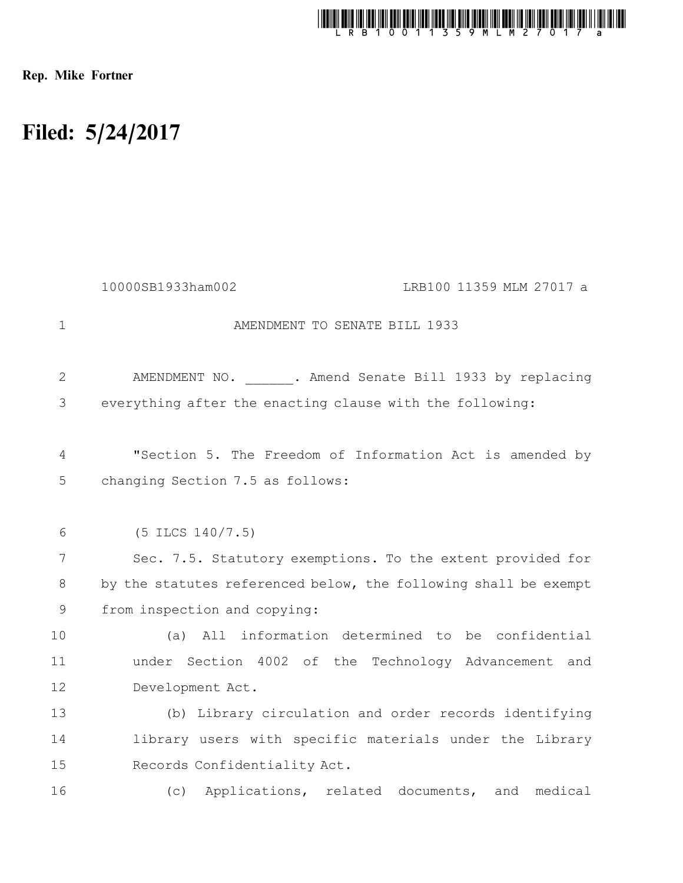

Rep. Mike Fortner

## Filed: 5/24/2017

|                | 10000SB1933ham002<br>LRB100 11359 MLM 27017 a                   |
|----------------|-----------------------------------------------------------------|
| $\mathbf 1$    | AMENDMENT TO SENATE BILL 1933                                   |
| $\overline{2}$ | AMENDMENT NO. . Amend Senate Bill 1933 by replacing             |
| 3              | everything after the enacting clause with the following:        |
| 4              | "Section 5. The Freedom of Information Act is amended by        |
| 5              | changing Section 7.5 as follows:                                |
| 6              | $(5$ ILCS $140/7.5)$                                            |
| 7              | Sec. 7.5. Statutory exemptions. To the extent provided for      |
| 8              | by the statutes referenced below, the following shall be exempt |
| $\mathsf 9$    | from inspection and copying:                                    |
| 10             | All information determined to be confidential<br>(a)            |
| 11             | under Section 4002 of the Technology Advancement and            |
| 12             | Development Act.                                                |
| 13             | (b) Library circulation and order records identifying           |
| 14             | library users with specific materials under the Library         |
| 15             | Records Confidentiality Act.                                    |
| 16             | Applications, related documents, and medical<br>(C)             |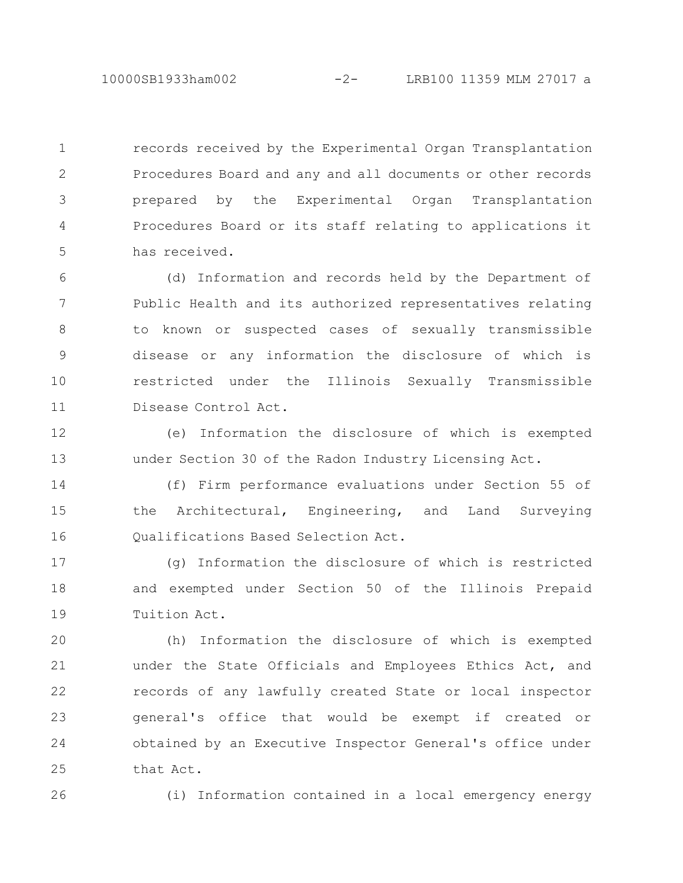records received by the Experimental Organ Transplantation Procedures Board and any and all documents or other records prepared by the Experimental Organ Transplantation Procedures Board or its staff relating to applications it has received. 1 2 3 4 5

(d) Information and records held by the Department of Public Health and its authorized representatives relating to known or suspected cases of sexually transmissible disease or any information the disclosure of which is restricted under the Illinois Sexually Transmissible Disease Control Act. 6 7 8 9 10 11

(e) Information the disclosure of which is exempted under Section 30 of the Radon Industry Licensing Act. 12 13

(f) Firm performance evaluations under Section 55 of the Architectural, Engineering, and Land Surveying Qualifications Based Selection Act. 14 15 16

(g) Information the disclosure of which is restricted and exempted under Section 50 of the Illinois Prepaid Tuition Act. 17 18 19

(h) Information the disclosure of which is exempted under the State Officials and Employees Ethics Act, and records of any lawfully created State or local inspector general's office that would be exempt if created or obtained by an Executive Inspector General's office under that Act. 20 21 22 23 24 25

26

(i) Information contained in a local emergency energy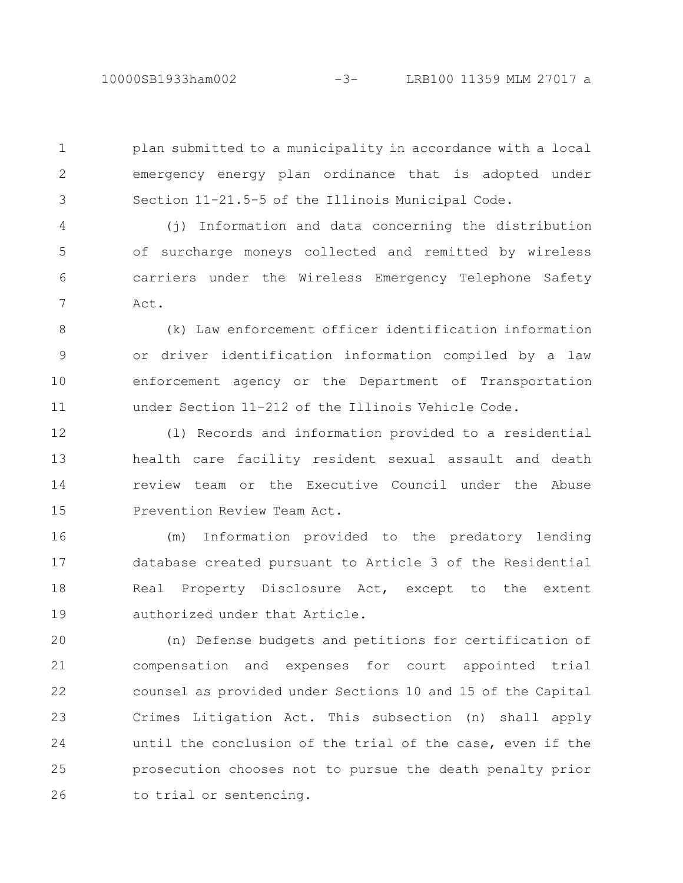plan submitted to a municipality in accordance with a local emergency energy plan ordinance that is adopted under Section 11-21.5-5 of the Illinois Municipal Code. 1 2 3

(j) Information and data concerning the distribution of surcharge moneys collected and remitted by wireless carriers under the Wireless Emergency Telephone Safety Act. 4 5 6 7

(k) Law enforcement officer identification information or driver identification information compiled by a law enforcement agency or the Department of Transportation under Section 11-212 of the Illinois Vehicle Code. 8 9 10 11

(l) Records and information provided to a residential health care facility resident sexual assault and death review team or the Executive Council under the Abuse Prevention Review Team Act. 12 13 14 15

(m) Information provided to the predatory lending database created pursuant to Article 3 of the Residential Real Property Disclosure Act, except to the extent authorized under that Article. 16 17 18 19

(n) Defense budgets and petitions for certification of compensation and expenses for court appointed trial counsel as provided under Sections 10 and 15 of the Capital Crimes Litigation Act. This subsection (n) shall apply until the conclusion of the trial of the case, even if the prosecution chooses not to pursue the death penalty prior to trial or sentencing. 20 21 22 23 24 25 26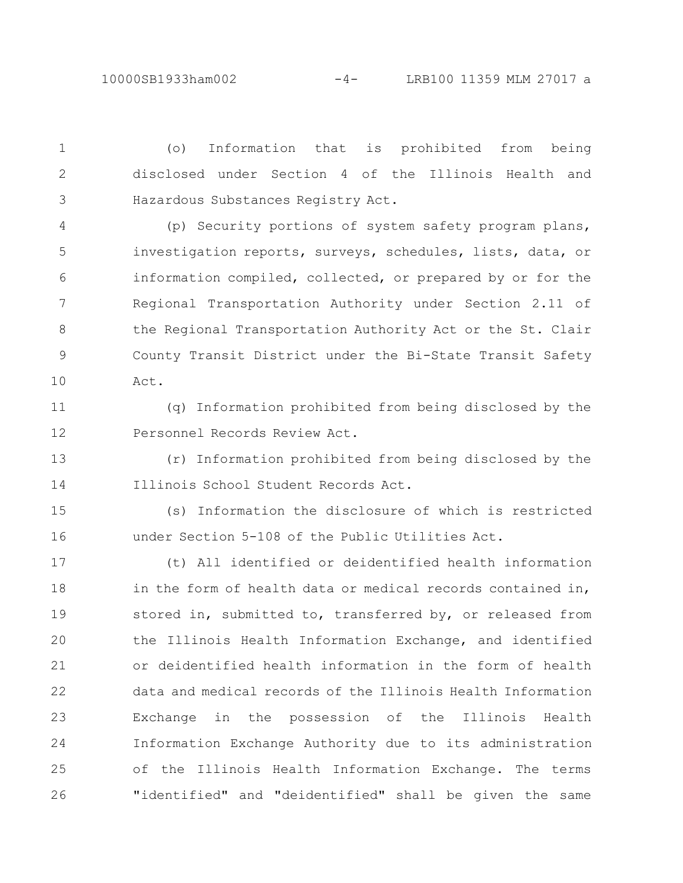(o) Information that is prohibited from being disclosed under Section 4 of the Illinois Health and Hazardous Substances Registry Act. 1 2 3

(p) Security portions of system safety program plans, investigation reports, surveys, schedules, lists, data, or information compiled, collected, or prepared by or for the Regional Transportation Authority under Section 2.11 of the Regional Transportation Authority Act or the St. Clair County Transit District under the Bi-State Transit Safety Act. 4 5 6 7 8 9 10

(q) Information prohibited from being disclosed by the Personnel Records Review Act. 11 12

(r) Information prohibited from being disclosed by the Illinois School Student Records Act. 13 14

(s) Information the disclosure of which is restricted under Section 5-108 of the Public Utilities Act. 15 16

(t) All identified or deidentified health information in the form of health data or medical records contained in, stored in, submitted to, transferred by, or released from the Illinois Health Information Exchange, and identified or deidentified health information in the form of health data and medical records of the Illinois Health Information Exchange in the possession of the Illinois Health Information Exchange Authority due to its administration of the Illinois Health Information Exchange. The terms "identified" and "deidentified" shall be given the same 17 18 19 20 21 22 23 24 25 26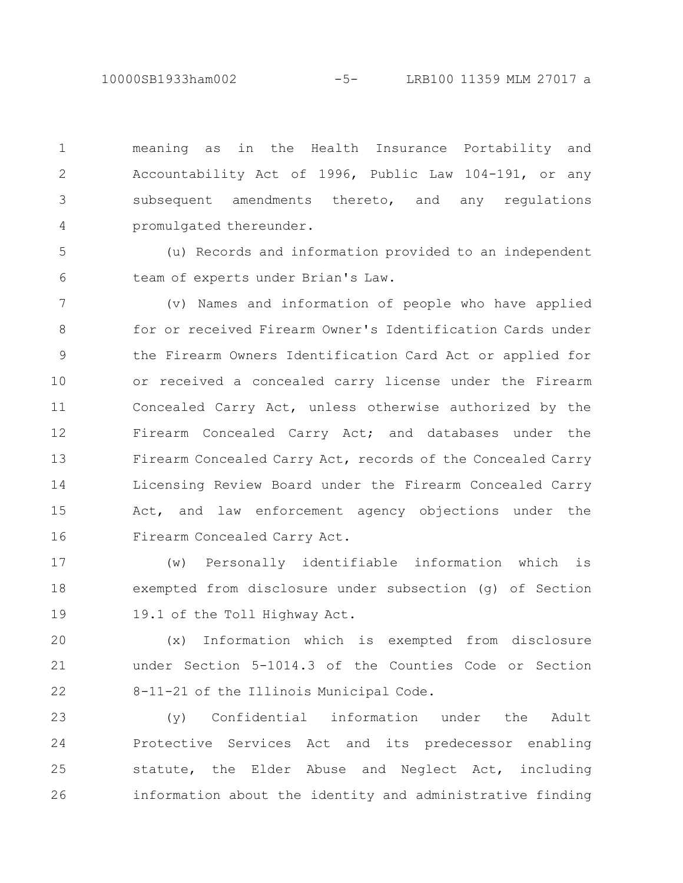10000SB1933ham002 -5- LRB100 11359 MLM 27017 a

meaning as in the Health Insurance Portability and Accountability Act of 1996, Public Law 104-191, or any subsequent amendments thereto, and any regulations promulgated thereunder. 1 2 3 4

(u) Records and information provided to an independent team of experts under Brian's Law. 5 6

(v) Names and information of people who have applied for or received Firearm Owner's Identification Cards under the Firearm Owners Identification Card Act or applied for or received a concealed carry license under the Firearm Concealed Carry Act, unless otherwise authorized by the Firearm Concealed Carry Act; and databases under the Firearm Concealed Carry Act, records of the Concealed Carry Licensing Review Board under the Firearm Concealed Carry Act, and law enforcement agency objections under the Firearm Concealed Carry Act. 7 8 9 10 11 12 13 14 15 16

(w) Personally identifiable information which is exempted from disclosure under subsection (g) of Section 19.1 of the Toll Highway Act. 17 18 19

(x) Information which is exempted from disclosure under Section 5-1014.3 of the Counties Code or Section 8-11-21 of the Illinois Municipal Code. 20 21 22

(y) Confidential information under the Adult Protective Services Act and its predecessor enabling statute, the Elder Abuse and Neglect Act, including information about the identity and administrative finding 23 24 25 26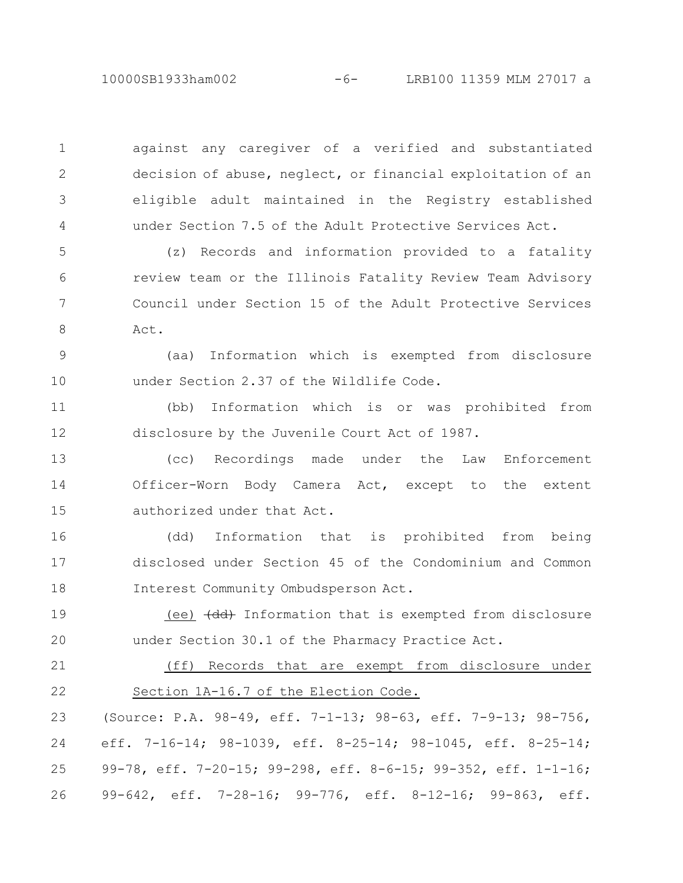10000SB1933ham002 -6- LRB100 11359 MLM 27017 a

against any caregiver of a verified and substantiated decision of abuse, neglect, or financial exploitation of an eligible adult maintained in the Registry established under Section 7.5 of the Adult Protective Services Act.

1

2

3

4

(z) Records and information provided to a fatality review team or the Illinois Fatality Review Team Advisory Council under Section 15 of the Adult Protective Services Act. 5 6 7 8

(aa) Information which is exempted from disclosure under Section 2.37 of the Wildlife Code. 9 10

(bb) Information which is or was prohibited from disclosure by the Juvenile Court Act of 1987. 11 12

(cc) Recordings made under the Law Enforcement Officer-Worn Body Camera Act, except to the extent authorized under that Act. 13 14 15

(dd) Information that is prohibited from being disclosed under Section 45 of the Condominium and Common Interest Community Ombudsperson Act. 16 17 18

(ee)  $\left( \text{dd} \right)$  Information that is exempted from disclosure under Section 30.1 of the Pharmacy Practice Act. 19 20

(ff) Records that are exempt from disclosure under Section 1A-16.7 of the Election Code. 21 22

(Source: P.A. 98-49, eff. 7-1-13; 98-63, eff. 7-9-13; 98-756, eff. 7-16-14; 98-1039, eff. 8-25-14; 98-1045, eff. 8-25-14; 99-78, eff. 7-20-15; 99-298, eff. 8-6-15; 99-352, eff. 1-1-16; 99-642, eff. 7-28-16; 99-776, eff. 8-12-16; 99-863, eff. 23 24 25 26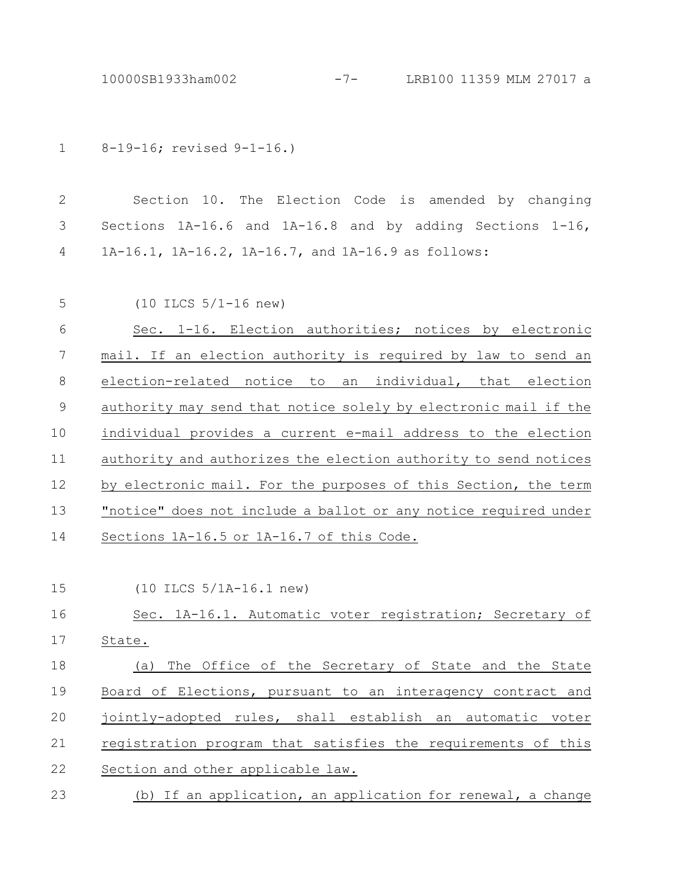8-19-16; revised 9-1-16.) 1

Section 10. The Election Code is amended by changing Sections 1A-16.6 and 1A-16.8 and by adding Sections 1-16, 1A-16.1, 1A-16.2, 1A-16.7, and 1A-16.9 as follows: 2 3 4

| 5  | $(10$ ILCS $5/1-16$ new)                                        |
|----|-----------------------------------------------------------------|
| 6  | Sec. 1-16. Election authorities; notices by electronic          |
| 7  | mail. If an election authority is required by law to send an    |
| 8  | election-related notice to an individual, that election         |
| 9  | authority may send that notice solely by electronic mail if the |
| 10 | individual provides a current e-mail address to the election    |
| 11 | authority and authorizes the election authority to send notices |
| 12 | by electronic mail. For the purposes of this Section, the term  |
| 13 | "notice" does not include a ballot or any notice required under |
| 14 | Sections 1A-16.5 or 1A-16.7 of this Code.                       |

(10 ILCS 5/1A-16.1 new) 15

## Sec. 1A-16.1. Automatic voter registration; Secretary of State. (a) The Office of the Secretary of State and the State 16 17 18

Board of Elections, pursuant to an interagency contract and jointly-adopted rules, shall establish an automatic voter registration program that satisfies the requirements of this Section and other applicable law. (b) If an application, an application for renewal, a change 19 20 21 22 23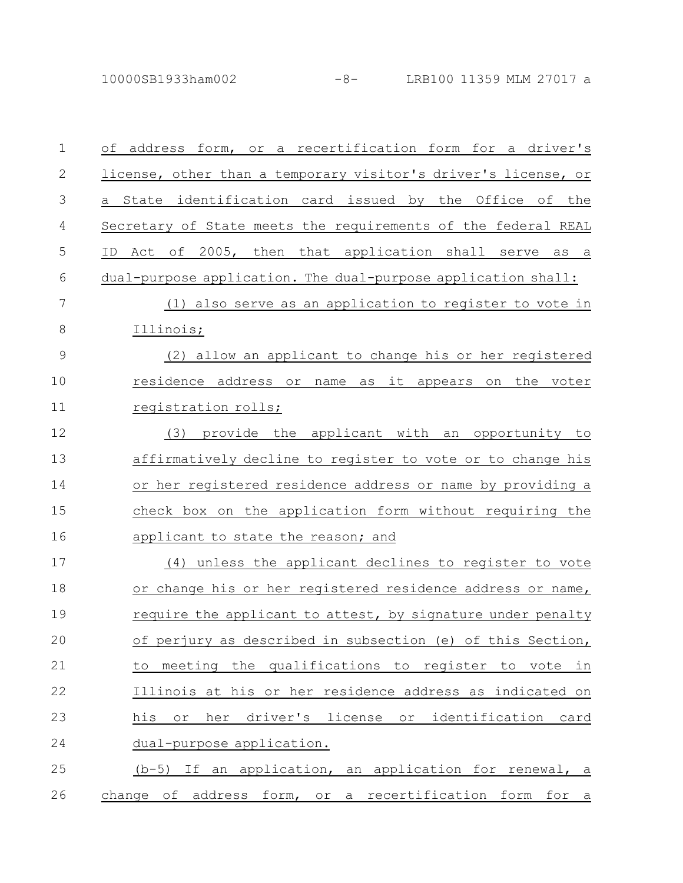10000SB1933ham002 -8- LRB100 11359 MLM 27017 a

| $\mathbf 1$   | or a recertification form for a driver's<br>of address form,       |
|---------------|--------------------------------------------------------------------|
| $\mathbf{2}$  | license, other than a temporary visitor's driver's license, or     |
| 3             | identification card issued by the Office of the<br>a State         |
| 4             | Secretary of State meets the requirements of the federal REAL      |
| 5             | 2005, then that application shall serve as a<br>Act of<br>ID.      |
| 6             | dual-purpose application. The dual-purpose application shall:      |
| 7             | (1) also serve as an application to register to vote in            |
| $8\,$         | Illinois;                                                          |
| $\mathcal{G}$ | (2) allow an applicant to change his or her registered             |
| 10            | residence address or name as it appears on the voter               |
| 11            | registration rolls;                                                |
| 12            | (3) provide the applicant with an opportunity to                   |
| 13            | affirmatively decline to register to vote or to change his         |
| 14            | or her registered residence address or name by providing a         |
| 15            | check box on the application form without requiring the            |
| 16            | applicant to state the reason; and                                 |
| 17            | (4) unless the applicant declines to register to vote              |
| 18            | or change his or her registered residence address or name,         |
| 19            | require the applicant to attest, by signature under penalty        |
| 20            | of perjury as described in subsection (e) of this Section,         |
| 21            | meeting the qualifications to register to vote in<br>to            |
| 22            | Illinois at his or her residence address as indicated on           |
| 23            | driver's license or identification card<br>his<br>her<br>$\circ$ r |
| 24            | dual-purpose application.                                          |
| 25            | (b-5) If an application, an application for renewal, a             |
| 26            | change of address form, or a recertification form for a            |

$$
-8 - \quad \text{LRB100 } 11
$$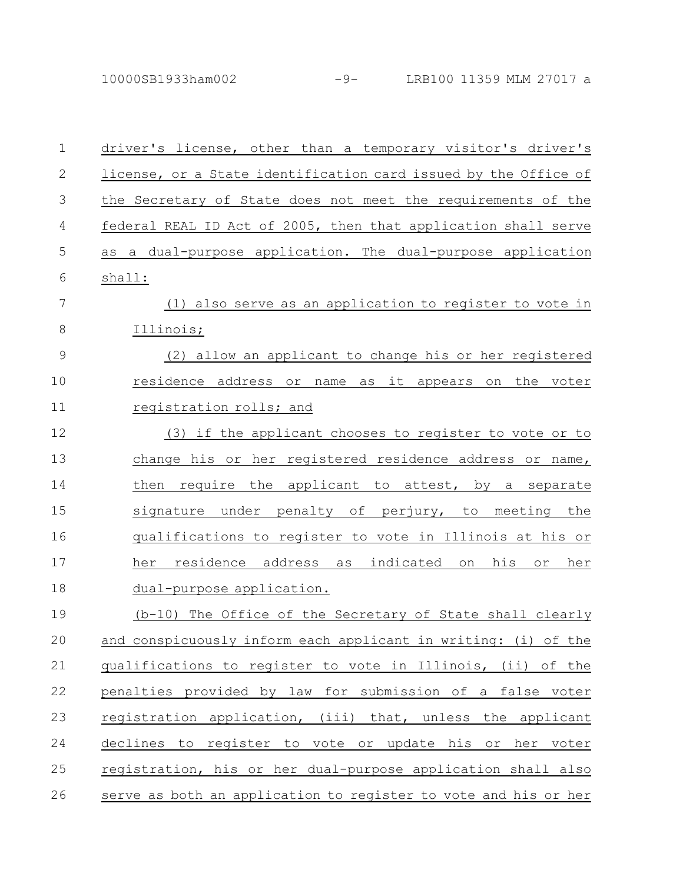10000SB1933ham002 -9- LRB100 11359 MLM 27017 a

| $\mathbf 1$    | driver's license, other than a temporary visitor's driver's     |
|----------------|-----------------------------------------------------------------|
| $\mathbf{2}$   | license, or a State identification card issued by the Office of |
| 3              | the Secretary of State does not meet the requirements of the    |
| $\overline{4}$ | federal REAL ID Act of 2005, then that application shall serve  |
| 5              | as a dual-purpose application. The dual-purpose application     |
| 6              | shall:                                                          |
| 7              | (1) also serve as an application to register to vote in         |
| 8              | Illinois;                                                       |
| $\mathcal{G}$  | (2) allow an applicant to change his or her registered          |
| 10             | residence address or name as it appears on the voter            |
| 11             | registration rolls; and                                         |
| 12             | (3) if the applicant chooses to register to vote or to          |
| 13             | change his or her registered residence address or name,         |
| 14             | then require the applicant to attest, by a separate             |
| 15             | signature under penalty of perjury, to meeting the              |
| 16             | qualifications to register to vote in Illinois at his or        |
| 17             | residence address as indicated<br>his<br>her<br>her<br>on<br>or |
| 18             | dual-purpose application.                                       |
| 19             | (b-10) The Office of the Secretary of State shall clearly       |
| 20             | and conspicuously inform each applicant in writing: (i) of the  |
| 21             | qualifications to register to vote in Illinois, (ii) of the     |
| 22             | penalties provided by law for submission of a false voter       |
| 23             | registration application, (iii) that, unless the applicant      |
| 24             | declines to register to vote or update his or her voter         |
| 25             | registration, his or her dual-purpose application shall also    |
| 26             | serve as both an application to register to vote and his or her |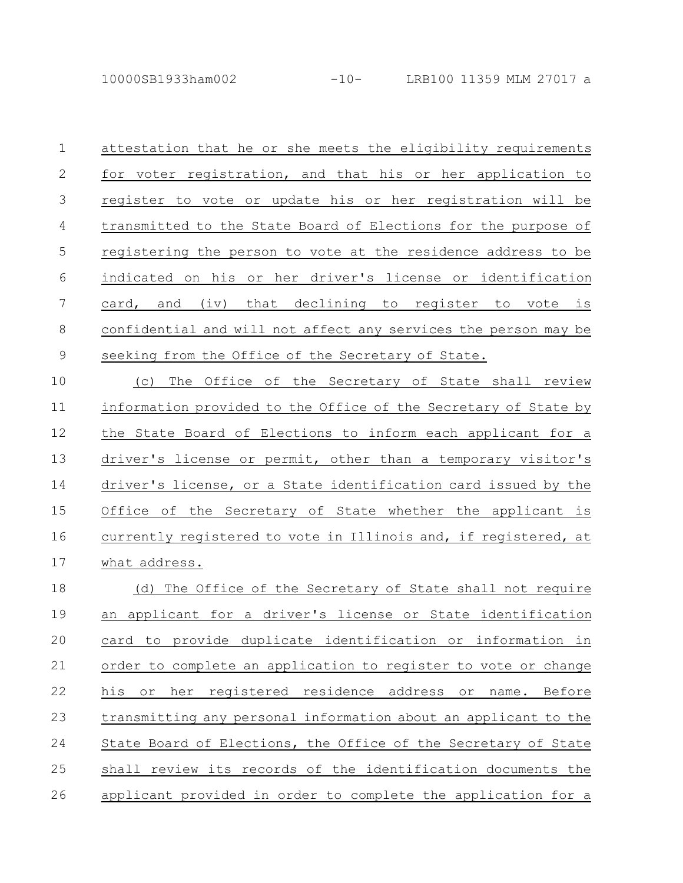attestation that he or she meets the eligibility requirements for voter registration, and that his or her application to register to vote or update his or her registration will be transmitted to the State Board of Elections for the purpose of registering the person to vote at the residence address to be indicated on his or her driver's license or identification card, and (iv) that declining to register to vote is confidential and will not affect any services the person may be seeking from the Office of the Secretary of State. 1 2 3 4 5 6 7 8 9

(c) The Office of the Secretary of State shall review information provided to the Office of the Secretary of State by the State Board of Elections to inform each applicant for a driver's license or permit, other than a temporary visitor's driver's license, or a State identification card issued by the Office of the Secretary of State whether the applicant is currently registered to vote in Illinois and, if registered, at what address. 10 11 12 13 14 15 16 17

(d) The Office of the Secretary of State shall not require an applicant for a driver's license or State identification card to provide duplicate identification or information in order to complete an application to register to vote or change his or her registered residence address or name. Before transmitting any personal information about an applicant to the State Board of Elections, the Office of the Secretary of State shall review its records of the identification documents the applicant provided in order to complete the application for a 18 19 20 21 22 23 24 25 26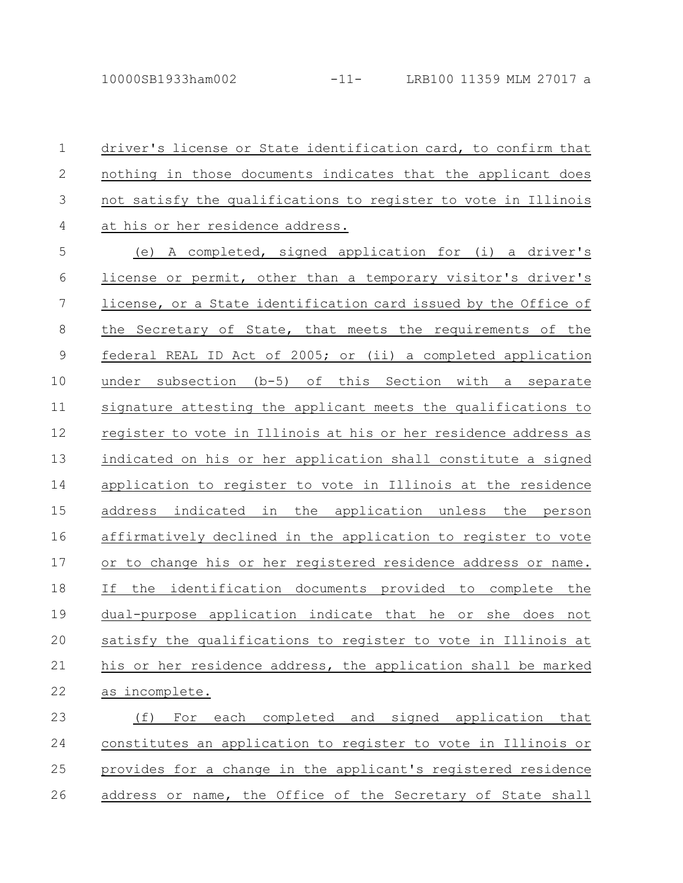driver's license or State identification card, to confirm that nothing in those documents indicates that the applicant does not satisfy the qualifications to register to vote in Illinois at his or her residence address. 1 2 3 4

(e) A completed, signed application for (i) a driver's license or permit, other than a temporary visitor's driver's license, or a State identification card issued by the Office of the Secretary of State, that meets the requirements of the federal REAL ID Act of 2005; or (ii) a completed application under subsection (b-5) of this Section with a separate signature attesting the applicant meets the qualifications to register to vote in Illinois at his or her residence address as indicated on his or her application shall constitute a signed application to register to vote in Illinois at the residence address indicated in the application unless the person affirmatively declined in the application to register to vote or to change his or her registered residence address or name. If the identification documents provided to complete the dual-purpose application indicate that he or she does not satisfy the qualifications to register to vote in Illinois at his or her residence address, the application shall be marked as incomplete. 5 6 7 8 9 10 11 12 13 14 15 16 17 18 19 20 21 22

(f) For each completed and signed application that constitutes an application to register to vote in Illinois or provides for a change in the applicant's registered residence address or name, the Office of the Secretary of State shall 23 24 25 26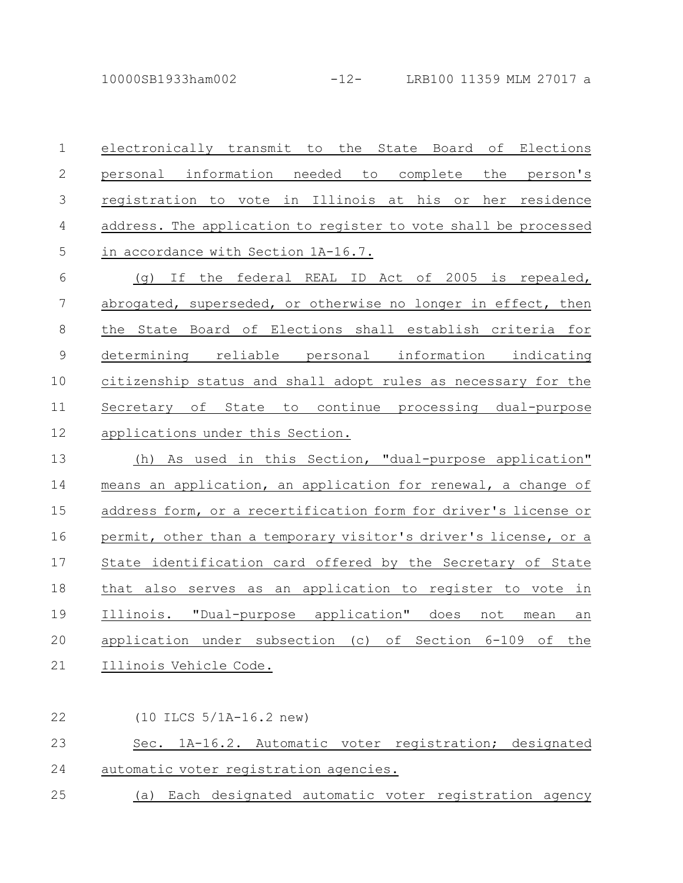electronically transmit to the State Board of Elections personal information needed to complete the person's registration to vote in Illinois at his or her residence address. The application to register to vote shall be processed in accordance with Section 1A-16.7. 1 2 3 4 5

(g) If the federal REAL ID Act of 2005 is repealed, abrogated, superseded, or otherwise no longer in effect, then the State Board of Elections shall establish criteria for determining reliable personal information indicating citizenship status and shall adopt rules as necessary for the Secretary of State to continue processing dual-purpose applications under this Section. 6 7 8 9 10 11 12

(h) As used in this Section, "dual-purpose application" means an application, an application for renewal, a change of address form, or a recertification form for driver's license or permit, other than a temporary visitor's driver's license, or a State identification card offered by the Secretary of State that also serves as an application to register to vote in Illinois. "Dual-purpose application" does not mean an application under subsection (c) of Section 6-109 of the Illinois Vehicle Code. 13 14 15 16 17 18 19 20 21

## (10 ILCS 5/1A-16.2 new) Sec. 1A-16.2. Automatic voter registration; designated automatic voter registration agencies. (a) Each designated automatic voter registration agency 22 23 24 25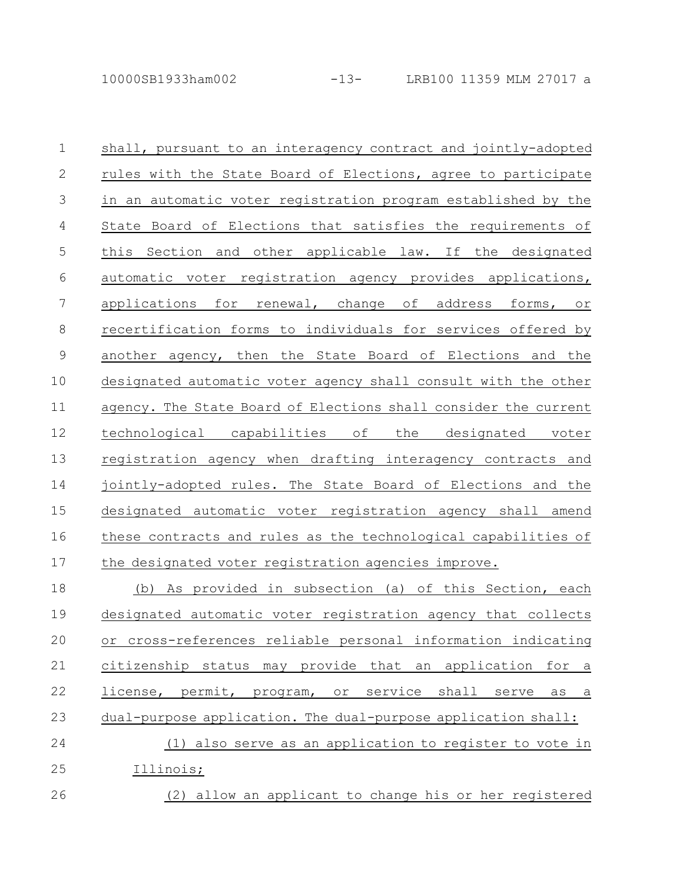26

| $\mathbf 1$  | shall, pursuant to an interagency contract and jointly-adopted  |
|--------------|-----------------------------------------------------------------|
| $\mathbf{2}$ | rules with the State Board of Elections, agree to participate   |
| 3            | in an automatic voter registration program established by the   |
| 4            | State Board of Elections that satisfies the requirements of     |
| 5            | this Section and other applicable law. If the designated        |
| 6            | automatic voter registration agency provides applications,      |
| 7            | applications for renewal, change of address forms, or           |
| 8            | recertification forms to individuals for services offered by    |
| 9            | another agency, then the State Board of Elections and the       |
| 10           | designated automatic voter agency shall consult with the other  |
| 11           | agency. The State Board of Elections shall consider the current |
| 12           | technological capabilities of the designated voter              |
| 13           | registration agency when drafting interagency contracts and     |
| 14           | jointly-adopted rules. The State Board of Elections and the     |
| 15           | designated automatic voter registration agency shall amend      |
| 16           | these contracts and rules as the technological capabilities of  |
| 17           | the designated voter registration agencies improve.             |
| 18           | (b) As provided in subsection (a) of this Section, each         |
| 19           | designated automatic voter registration agency that collects    |
|              |                                                                 |

or cross-references reliable personal information indicating citizenship status may provide that an application for a license, permit, program, or service shall serve as a dual-purpose application. The dual-purpose application shall: 20 21 22 23

(1) also serve as an application to register to vote in Illinois; 24 25

(2) allow an applicant to change his or her registered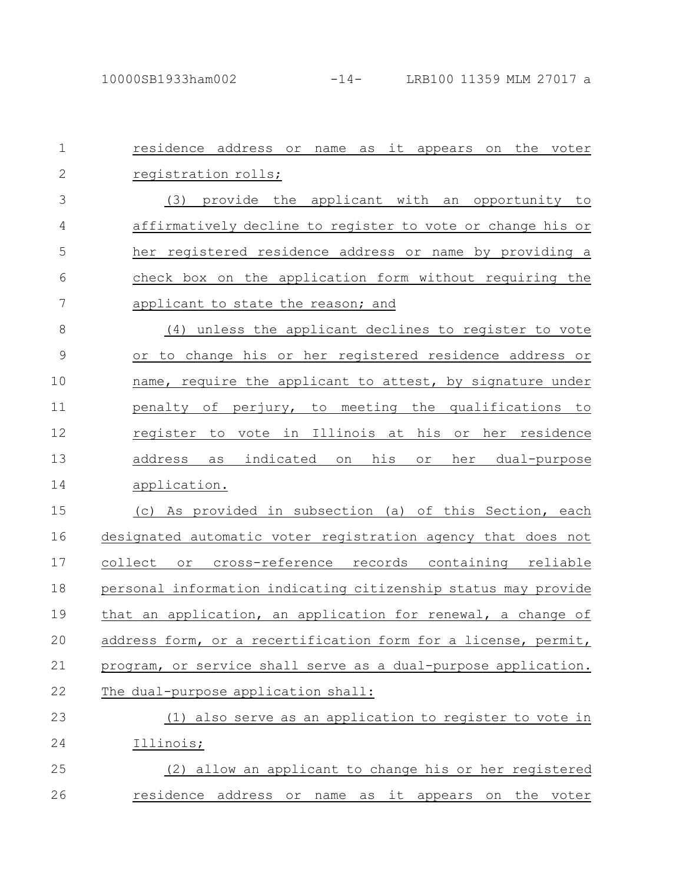| $\mathbf{1}$   | residence address or name as it appears<br>the voter<br>on                  |
|----------------|-----------------------------------------------------------------------------|
| $\overline{2}$ | registration rolls;                                                         |
| 3              | (3) provide the applicant with an opportunity to                            |
| 4              | affirmatively decline to register to vote or change his or                  |
| 5              | her registered residence address or name by providing a                     |
| 6              | check box on the application form without requiring the                     |
| 7              | applicant to state the reason; and                                          |
| $8\,$          | (4) unless the applicant declines to register to vote                       |
| $\mathcal{G}$  | or to change his or her registered residence address or                     |
| 10             | name, require the applicant to attest, by signature under                   |
| 11             | perjury, to meeting<br>оf<br>the qualifications<br>to<br>penalty            |
| 12             | vote in Illinois at<br>his or<br>her residence<br>register to               |
| 13             | his<br>address<br>indicated<br>her<br>dual-purpose<br>as<br>on<br>$\circ$ r |
| 14             | application.                                                                |
| 15             | As provided in subsection (a) of this Section, each<br>(C)                  |
| 16             | designated automatic voter registration agency that does not                |
| 17             | collect or cross-reference records containing reliable                      |
| 18             | personal information indicating citizenship status may provide              |
| 19             | that an application, an application for renewal, a change of                |
| 20             | address form, or a recertification form for a license, permit,              |
| 21             | program, or service shall serve as a dual-purpose application.              |
| 22             | The dual-purpose application shall:                                         |
| 23             | (1) also serve as an application to register to vote in                     |
| 24             | Illinois;                                                                   |
| 25             | (2) allow an applicant to change his or her registered                      |
| 26             | residence address or name as it appears on the voter                        |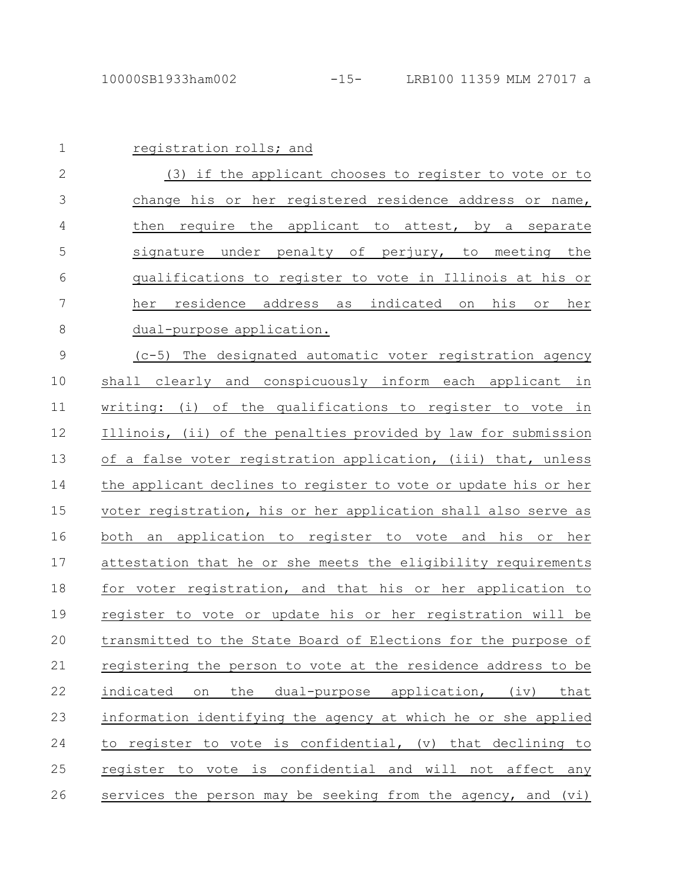| $\mathbf 1$   | registration rolls; and                                         |
|---------------|-----------------------------------------------------------------|
| $\mathbf{2}$  | (3) if the applicant chooses to register to vote or to          |
| 3             | change his or her registered residence address or name,         |
| 4             | then require the applicant to attest, by a separate             |
| 5             | signature under penalty of perjury, to meeting the              |
| 6             | qualifications to register to vote in Illinois at his or        |
| 7             | residence address as indicated on his<br>her<br>or<br>her       |
| 8             | dual-purpose application.                                       |
| $\mathcal{G}$ | (c-5) The designated automatic voter registration agency        |
| 10            | shall clearly and conspicuously inform each applicant in        |
| 11            | writing: (i) of the qualifications to register to vote in       |
| 12            | Illinois, (ii) of the penalties provided by law for submission  |
| 13            | of a false voter registration application, (iii) that, unless   |
| 14            | the applicant declines to register to vote or update his or her |
| 15            | voter registration, his or her application shall also serve as  |
| 16            | both an application to register to vote and his or her          |
| 17            | attestation that he or she meets the eligibility requirements   |
| 18            | for voter registration, and that his or her application to      |
| 19            | register to vote or update his or her registration will be      |
| 20            | transmitted to the State Board of Elections for the purpose of  |
| 21            | registering the person to vote at the residence address to be   |
| 22            | the dual-purpose application, (iv)<br>indicated<br>on<br>that   |
| 23            | information identifying the agency at which he or she applied   |
| 24            | to register to vote is confidential, (v) that declining to      |
| 25            | register to vote is confidential and will not affect any        |
| 26            | services the person may be seeking from the agency, and (vi)    |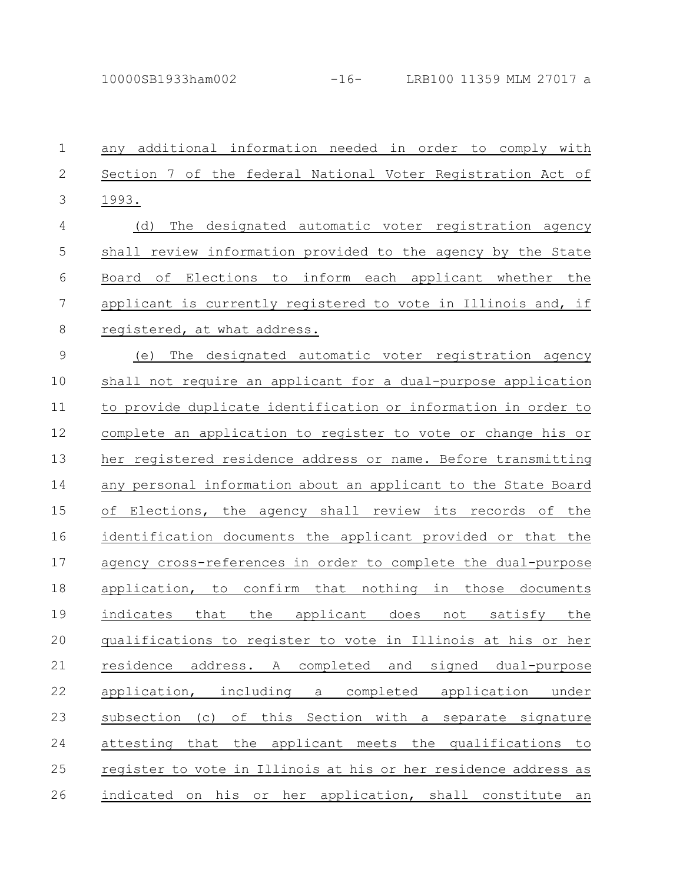| $\mathbf 1$   | any additional information needed in order to comply with       |
|---------------|-----------------------------------------------------------------|
| $\mathbf{2}$  | Section 7 of the federal National Voter Registration Act of     |
| 3             | 1993.                                                           |
| 4             | The<br>designated automatic voter registration agency<br>(d)    |
| 5             | shall review information provided to the agency by the State    |
| 6             | of Elections to inform each applicant whether the<br>Board      |
| 7             | applicant is currently registered to vote in Illinois and, if   |
| 8             | registered, at what address.                                    |
| $\mathcal{G}$ | The designated automatic voter registration agency<br>(e)       |
| 10            | shall not require an applicant for a dual-purpose application   |
| 11            | to provide duplicate identification or information in order to  |
| 12            | complete an application to register to vote or change his or    |
| 13            | her registered residence address or name. Before transmitting   |
| 14            | any personal information about an applicant to the State Board  |
| 15            | оf<br>Elections, the agency shall review its records of the     |
| 16            | identification documents the applicant provided or that the     |
| 17            | agency cross-references in order to complete the dual-purpose   |
| 18            | application, to confirm that nothing in those documents         |
| 19            | indicates that the applicant does not satisfy the               |
| $20$          | qualifications to register to vote in Illinois at his or her    |
| 21            | residence address. A completed and signed dual-purpose          |
| 22            | application, including a completed application<br>under         |
| 23            | subsection (c) of this Section with a separate signature        |
| 24            | attesting that the applicant meets the qualifications to        |
| 25            | register to vote in Illinois at his or her residence address as |
| 26            | indicated on his or her application, shall constitute an        |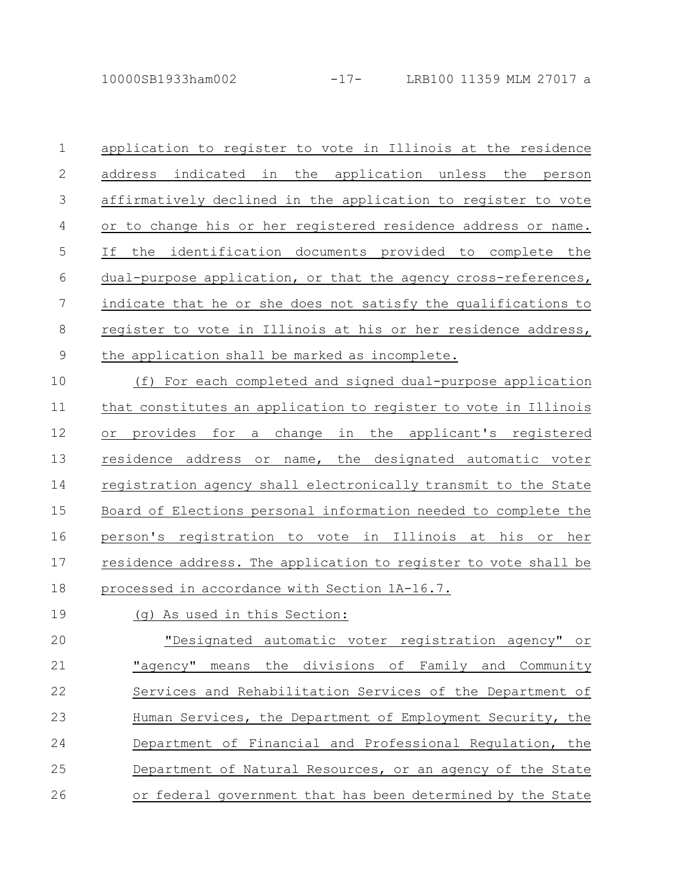application to register to vote in Illinois at the residence address indicated in the application unless the person affirmatively declined in the application to register to vote or to change his or her registered residence address or name. If the identification documents provided to complete the dual-purpose application, or that the agency cross-references, indicate that he or she does not satisfy the qualifications to register to vote in Illinois at his or her residence address, the application shall be marked as incomplete. 1 2 3 4 5 6 7 8 9

(f) For each completed and signed dual-purpose application that constitutes an application to register to vote in Illinois or provides for a change in the applicant's registered residence address or name, the designated automatic voter registration agency shall electronically transmit to the State Board of Elections personal information needed to complete the person's registration to vote in Illinois at his or her residence address. The application to register to vote shall be processed in accordance with Section 1A-16.7. 10 11 12 13 14 15 16 17 18

## (g) As used in this Section: 19

"Designated automatic voter registration agency" or "agency" means the divisions of Family and Community Services and Rehabilitation Services of the Department of Human Services, the Department of Employment Security, the Department of Financial and Professional Regulation, the Department of Natural Resources, or an agency of the State or federal government that has been determined by the State 20 21 22 23 24 25 26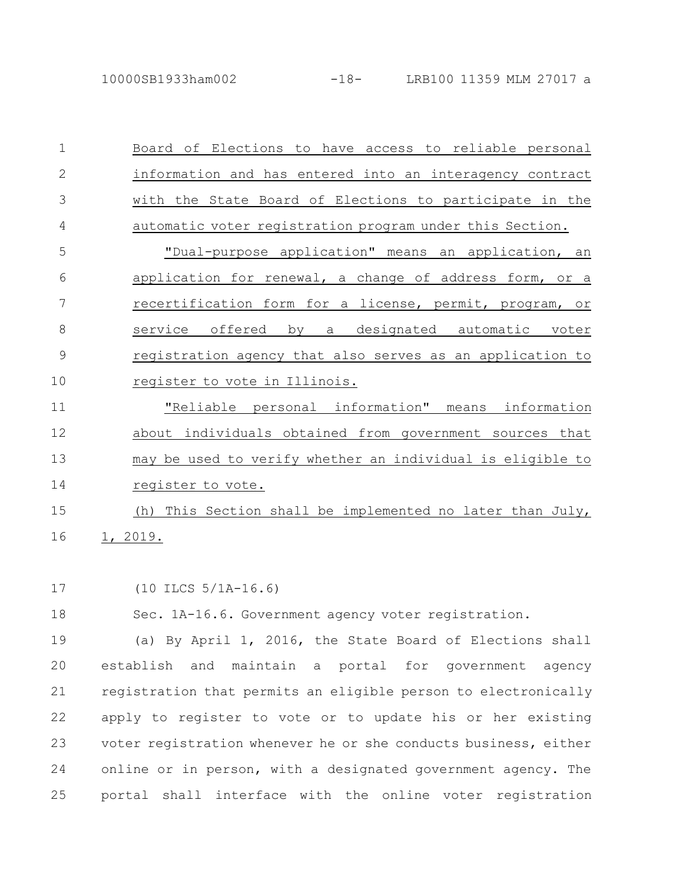| $\mathbf 1$    | Board of Elections to have access to reliable personal       |
|----------------|--------------------------------------------------------------|
| $\overline{2}$ | information and has entered into an interagency contract     |
| 3              | with the State Board of Elections to participate in the      |
| 4              | automatic voter registration program under this Section.     |
| 5              | "Dual-purpose application" means an application, an          |
| 6              | application for renewal, a change of address form, or a      |
| 7              | recertification form for a license, permit, program, or      |
| 8              | service offered by a designated automatic voter              |
| 9              | registration agency that also serves as an application to    |
| 10             | register to vote in Illinois.                                |
| 11             | "Reliable personal information" means information            |
| 12             | about individuals obtained from government sources that      |
| 13             | may be used to verify whether an individual is eligible to   |
| 14             | register to vote.                                            |
| 15             | This Section shall be implemented no later than July,<br>(h) |
| 16             | 1, 2019.                                                     |

(10 ILCS 5/1A-16.6) 17

Sec. 1A-16.6. Government agency voter registration. 18

(a) By April 1, 2016, the State Board of Elections shall establish and maintain a portal for government agency registration that permits an eligible person to electronically apply to register to vote or to update his or her existing voter registration whenever he or she conducts business, either online or in person, with a designated government agency. The portal shall interface with the online voter registration 19 20 21 22 23 24 25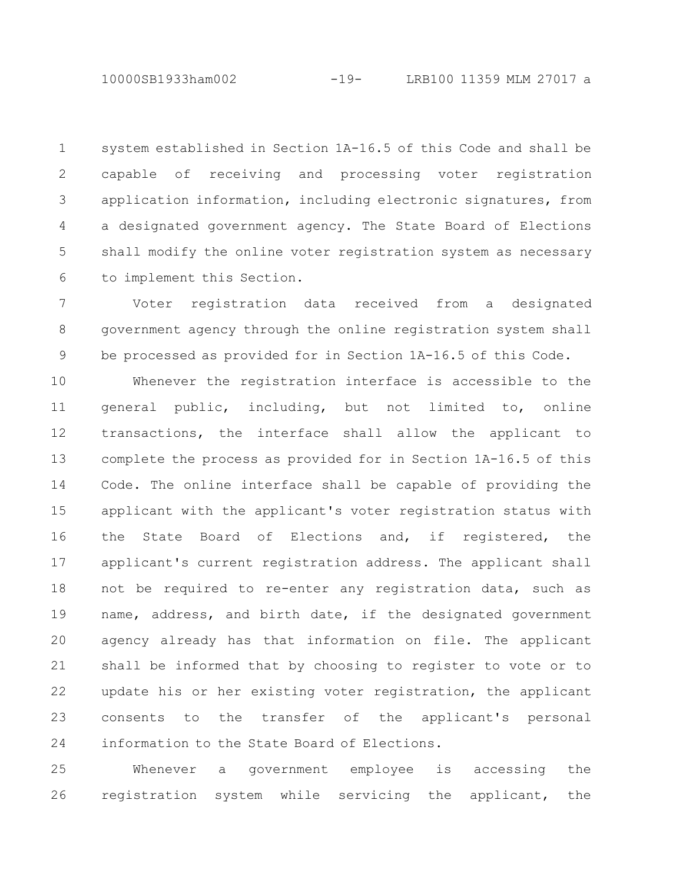system established in Section 1A-16.5 of this Code and shall be capable of receiving and processing voter registration application information, including electronic signatures, from a designated government agency. The State Board of Elections shall modify the online voter registration system as necessary to implement this Section. 1 2 3 4 5 6

Voter registration data received from a designated government agency through the online registration system shall be processed as provided for in Section 1A-16.5 of this Code. 7 8 9

Whenever the registration interface is accessible to the general public, including, but not limited to, online transactions, the interface shall allow the applicant to complete the process as provided for in Section 1A-16.5 of this Code. The online interface shall be capable of providing the applicant with the applicant's voter registration status with the State Board of Elections and, if registered, the applicant's current registration address. The applicant shall not be required to re-enter any registration data, such as name, address, and birth date, if the designated government agency already has that information on file. The applicant shall be informed that by choosing to register to vote or to update his or her existing voter registration, the applicant consents to the transfer of the applicant's personal information to the State Board of Elections. 10 11 12 13 14 15 16 17 18 19 20 21 22 23 24

Whenever a government employee is accessing the registration system while servicing the applicant, the 25 26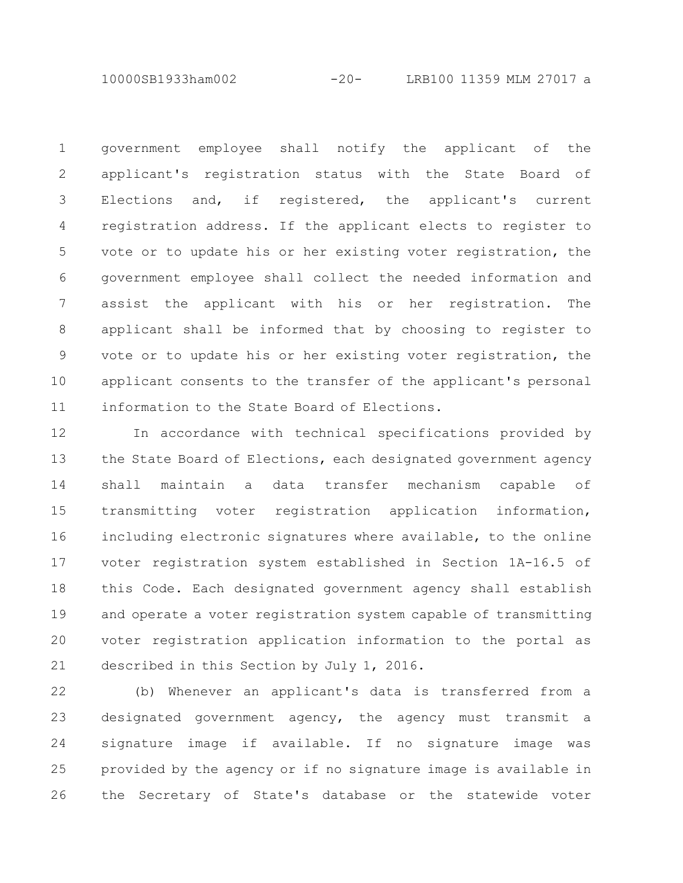10000SB1933ham002 -20- LRB100 11359 MLM 27017 a

government employee shall notify the applicant of the applicant's registration status with the State Board of Elections and, if registered, the applicant's current registration address. If the applicant elects to register to vote or to update his or her existing voter registration, the government employee shall collect the needed information and assist the applicant with his or her registration. The applicant shall be informed that by choosing to register to vote or to update his or her existing voter registration, the applicant consents to the transfer of the applicant's personal information to the State Board of Elections. 1 2 3 4 5 6 7 8 9 10 11

In accordance with technical specifications provided by the State Board of Elections, each designated government agency shall maintain a data transfer mechanism capable of transmitting voter registration application information, including electronic signatures where available, to the online voter registration system established in Section 1A-16.5 of this Code. Each designated government agency shall establish and operate a voter registration system capable of transmitting voter registration application information to the portal as described in this Section by July 1, 2016. 12 13 14 15 16 17 18 19 20 21

(b) Whenever an applicant's data is transferred from a designated government agency, the agency must transmit a signature image if available. If no signature image was provided by the agency or if no signature image is available in the Secretary of State's database or the statewide voter 22 23 24 25 26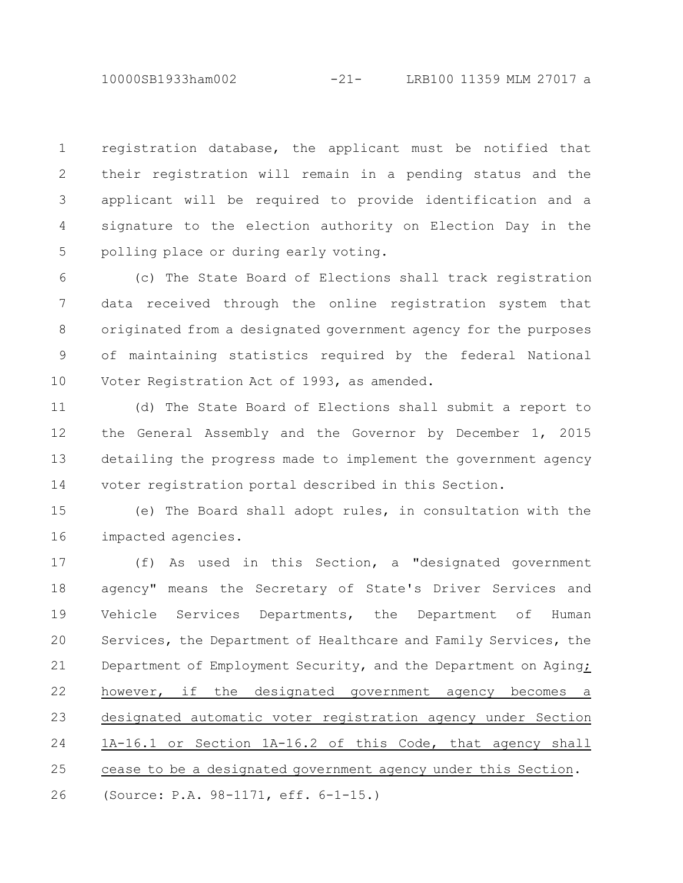10000SB1933ham002 -21- LRB100 11359 MLM 27017 a

registration database, the applicant must be notified that their registration will remain in a pending status and the applicant will be required to provide identification and a signature to the election authority on Election Day in the polling place or during early voting. 1 2 3 4 5

(c) The State Board of Elections shall track registration data received through the online registration system that originated from a designated government agency for the purposes of maintaining statistics required by the federal National Voter Registration Act of 1993, as amended. 6 7 8 9 10

(d) The State Board of Elections shall submit a report to the General Assembly and the Governor by December 1, 2015 detailing the progress made to implement the government agency voter registration portal described in this Section. 11 12 13 14

(e) The Board shall adopt rules, in consultation with the impacted agencies. 15 16

(f) As used in this Section, a "designated government agency" means the Secretary of State's Driver Services and Vehicle Services Departments, the Department of Human Services, the Department of Healthcare and Family Services, the Department of Employment Security, and the Department on Aging; however, if the designated government agency becomes a designated automatic voter registration agency under Section 1A-16.1 or Section 1A-16.2 of this Code, that agency shall cease to be a designated government agency under this Section. (Source: P.A. 98-1171, eff. 6-1-15.) 17 18 19 20 21 22 23 24 25 26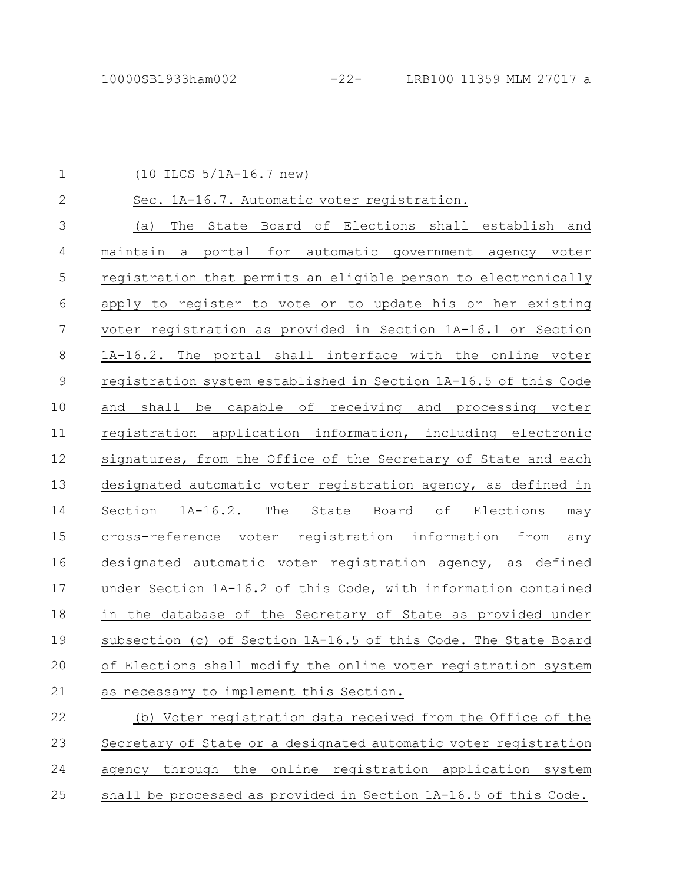(10 ILCS 5/1A-16.7 new) Sec. 1A-16.7. Automatic voter registration. (a) The State Board of Elections shall establish and maintain a portal for automatic government agency voter registration that permits an eligible person to electronically apply to register to vote or to update his or her existing voter registration as provided in Section 1A-16.1 or Section 1A-16.2. The portal shall interface with the online voter registration system established in Section 1A-16.5 of this Code and shall be capable of receiving and processing voter registration application information, including electronic signatures, from the Office of the Secretary of State and each designated automatic voter registration agency, as defined in Section 1A-16.2. The State Board of Elections may cross-reference voter registration information from any designated automatic voter registration agency, as defined under Section 1A-16.2 of this Code, with information contained in the database of the Secretary of State as provided under subsection (c) of Section 1A-16.5 of this Code. The State Board of Elections shall modify the online voter registration system as necessary to implement this Section. (b) Voter registration data received from the Office of the Secretary of State or a designated automatic voter registration 1 2 3 4 5 6 7 8 9 10 11 12 13 14 15 16 17 18 19 20 21 22 23

agency through the online registration application system shall be processed as provided in Section 1A-16.5 of this Code. 24 25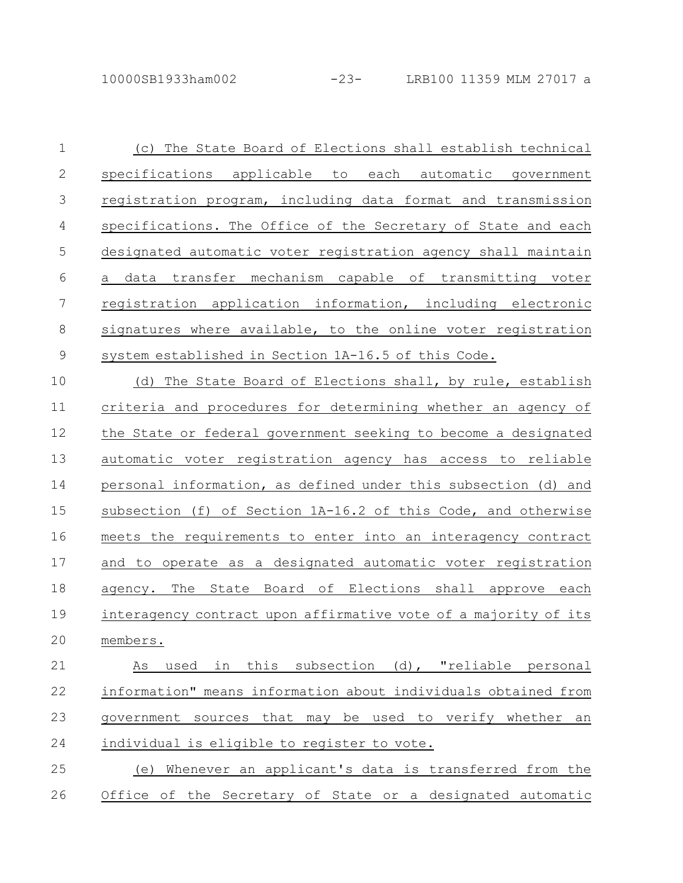(c) The State Board of Elections shall establish technical specifications applicable to each automatic government registration program, including data format and transmission specifications. The Office of the Secretary of State and each designated automatic voter registration agency shall maintain a data transfer mechanism capable of transmitting voter registration application information, including electronic signatures where available, to the online voter registration system established in Section 1A-16.5 of this Code. 1 2 3 4 5 6 7 8 9

(d) The State Board of Elections shall, by rule, establish criteria and procedures for determining whether an agency of the State or federal government seeking to become a designated automatic voter registration agency has access to reliable personal information, as defined under this subsection (d) and subsection (f) of Section 1A-16.2 of this Code, and otherwise meets the requirements to enter into an interagency contract and to operate as a designated automatic voter registration agency. The State Board of Elections shall approve each interagency contract upon affirmative vote of a majority of its members. 10 11 12 13 14 15 16 17 18 19 20

As used in this subsection (d), "reliable personal information" means information about individuals obtained from government sources that may be used to verify whether an individual is eligible to register to vote. 21 22 23 24

(e) Whenever an applicant's data is transferred from the Office of the Secretary of State or a designated automatic 25 26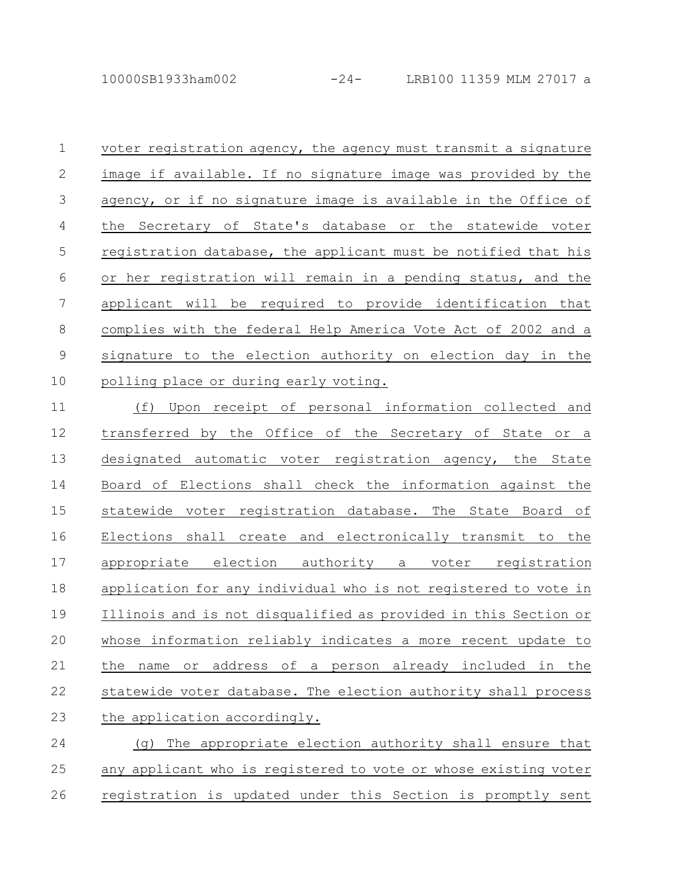10000SB1933ham002 -24- LRB100 11359 MLM 27017 a

voter registration agency, the agency must transmit a signature image if available. If no signature image was provided by the agency, or if no signature image is available in the Office of the Secretary of State's database or the statewide voter registration database, the applicant must be notified that his or her registration will remain in a pending status, and the applicant will be required to provide identification that complies with the federal Help America Vote Act of 2002 and a signature to the election authority on election day in the polling place or during early voting. 1 2 3 4 5 6 7 8 9 10

(f) Upon receipt of personal information collected and transferred by the Office of the Secretary of State or a designated automatic voter registration agency, the State Board of Elections shall check the information against the statewide voter registration database. The State Board of Elections shall create and electronically transmit to the appropriate election authority a voter registration application for any individual who is not registered to vote in Illinois and is not disqualified as provided in this Section or whose information reliably indicates a more recent update to the name or address of a person already included in the statewide voter database. The election authority shall process the application accordingly. 11 12 13 14 15 16 17 18 19 20 21 22 23

(g) The appropriate election authority shall ensure that any applicant who is registered to vote or whose existing voter registration is updated under this Section is promptly sent 24 25 26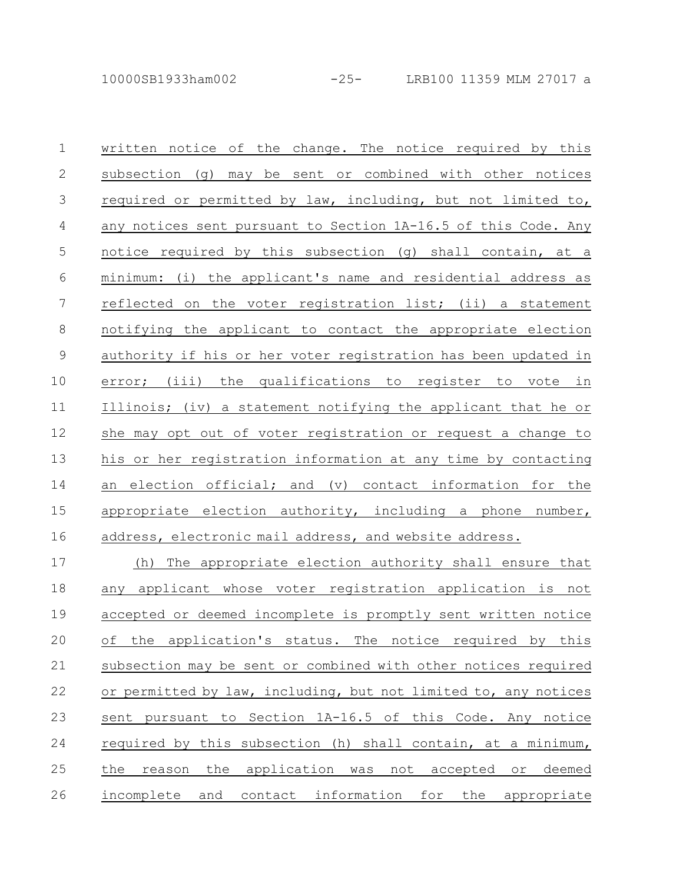written notice of the change. The notice required by this subsection (g) may be sent or combined with other notices required or permitted by law, including, but not limited to, any notices sent pursuant to Section 1A-16.5 of this Code. Any notice required by this subsection (g) shall contain, at a minimum: (i) the applicant's name and residential address as reflected on the voter registration list; (ii) a statement notifying the applicant to contact the appropriate election authority if his or her voter registration has been updated in error; (iii) the qualifications to register to vote in Illinois; (iv) a statement notifying the applicant that he or she may opt out of voter registration or request a change to his or her registration information at any time by contacting an election official; and (v) contact information for the appropriate election authority, including a phone number, address, electronic mail address, and website address. (h) The appropriate election authority shall ensure that any applicant whose voter registration application is not accepted or deemed incomplete is promptly sent written notice 1 2 3 4 5 6 7 8 9 10 11 12 13 14 15 16 17 18 19

of the application's status. The notice required by this subsection may be sent or combined with other notices required or permitted by law, including, but not limited to, any notices sent pursuant to Section 1A-16.5 of this Code. Any notice required by this subsection (h) shall contain, at a minimum, the reason the application was not accepted or deemed 20 21 22 23 24 25

incomplete and contact information for the appropriate 26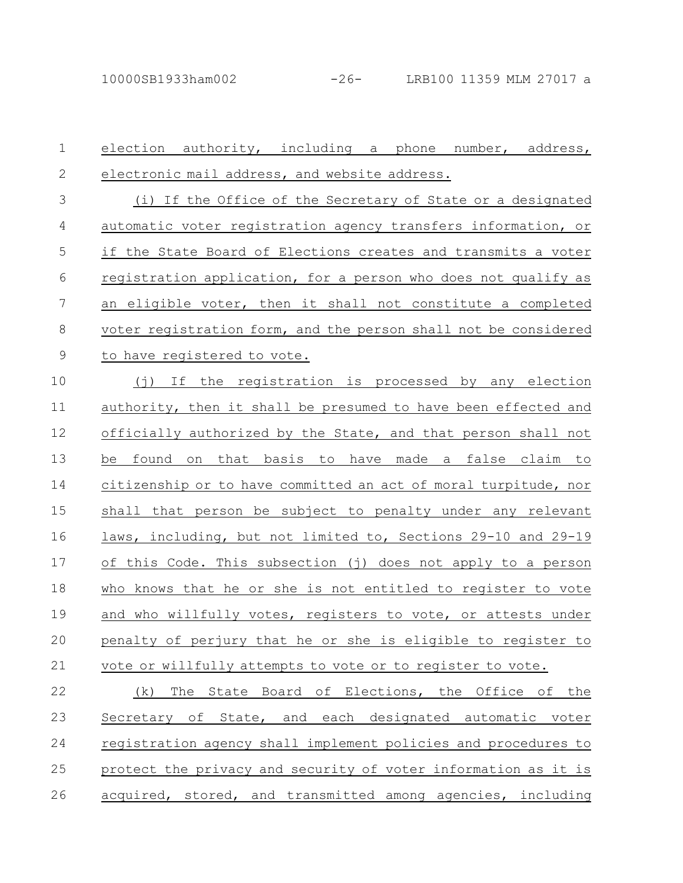election authority, including a phone number, address, electronic mail address, and website address. (i) If the Office of the Secretary of State or a designated automatic voter registration agency transfers information, or if the State Board of Elections creates and transmits a voter registration application, for a person who does not qualify as an eligible voter, then it shall not constitute a completed voter registration form, and the person shall not be considered to have registered to vote. (j) If the registration is processed by any election authority, then it shall be presumed to have been effected and officially authorized by the State, and that person shall not be found on that basis to have made a false claim to citizenship or to have committed an act of moral turpitude, nor shall that person be subject to penalty under any relevant laws, including, but not limited to, Sections 29-10 and 29-19 of this Code. This subsection (j) does not apply to a person who knows that he or she is not entitled to register to vote and who willfully votes, registers to vote, or attests under penalty of perjury that he or she is eligible to register to vote or willfully attempts to vote or to register to vote. (k) The State Board of Elections, the Office of the Secretary of State, and each designated automatic voter registration agency shall implement policies and procedures to protect the privacy and security of voter information as it is acquired, stored, and transmitted among agencies, including 1 2 3 4 5 6 7 8 9 10 11 12 13 14 15 16 17 18 19 20 21 22 23 24 25 26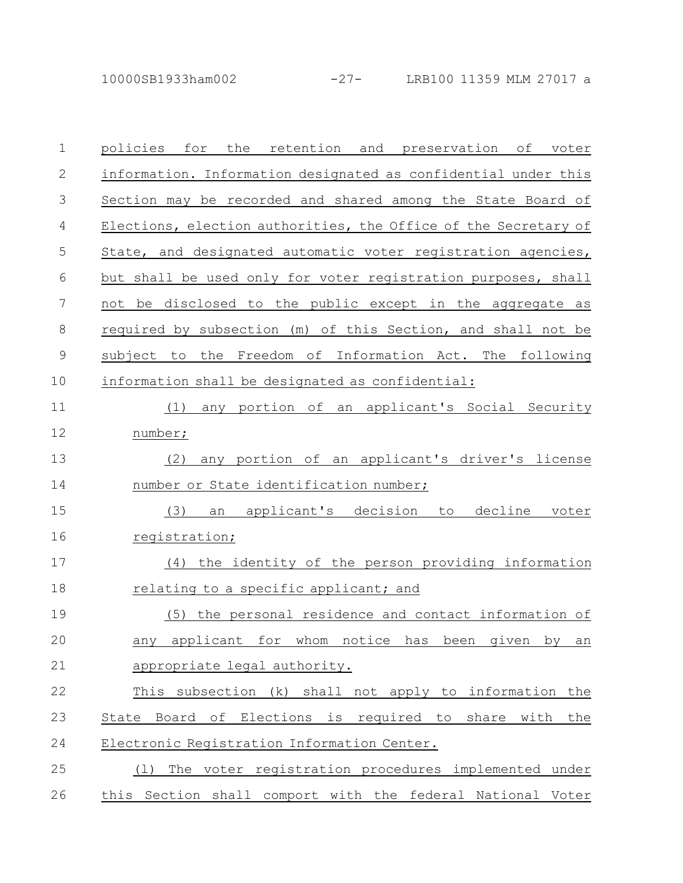10000SB1933ham002 -27- LRB100 11359 MLM 27017 a

| $\mathbf 1$  | policies<br>for<br>the retention and preservation of<br>voter     |
|--------------|-------------------------------------------------------------------|
| $\mathbf{2}$ | information. Information designated as confidential under this    |
| 3            | Section may be recorded and shared among the State Board of       |
| 4            | Elections, election authorities, the Office of the Secretary of   |
| 5            | State, and designated automatic voter registration agencies,      |
| 6            | but shall be used only for voter registration purposes, shall     |
| 7            | not be disclosed to the public except in the aggregate as         |
| 8            | required by subsection (m) of this Section, and shall not be      |
| $\mathsf 9$  | subject to<br>the Freedom of Information Act. The following       |
| 10           | information shall be designated as confidential:                  |
| 11           | any portion of an applicant's Social Security<br>(1)              |
| 12           | number;                                                           |
| 13           | any portion of an applicant's driver's license<br>(2)             |
| 14           | number or State identification number;                            |
| 15           | (3)<br>applicant's decision<br>decline<br>to<br>voter<br>an       |
| 16           | registration;                                                     |
| 17           | the identity of the person providing information<br>(4)           |
| 18           | relating to a specific applicant; and                             |
| 19           | the personal residence and contact information of<br>(5)          |
| 20           | any applicant for whom notice<br>has<br>been<br>by<br>given<br>an |
| 21           | appropriate legal authority.                                      |
| 22           | This subsection (k) shall not apply to information the            |
| 23           | State Board of Elections is required to<br>share<br>with<br>the   |
| 24           | Electronic Registration Information Center.                       |
| 25           | The voter registration procedures implemented under<br>(1)        |
| 26           | this Section shall comport with the federal National Voter        |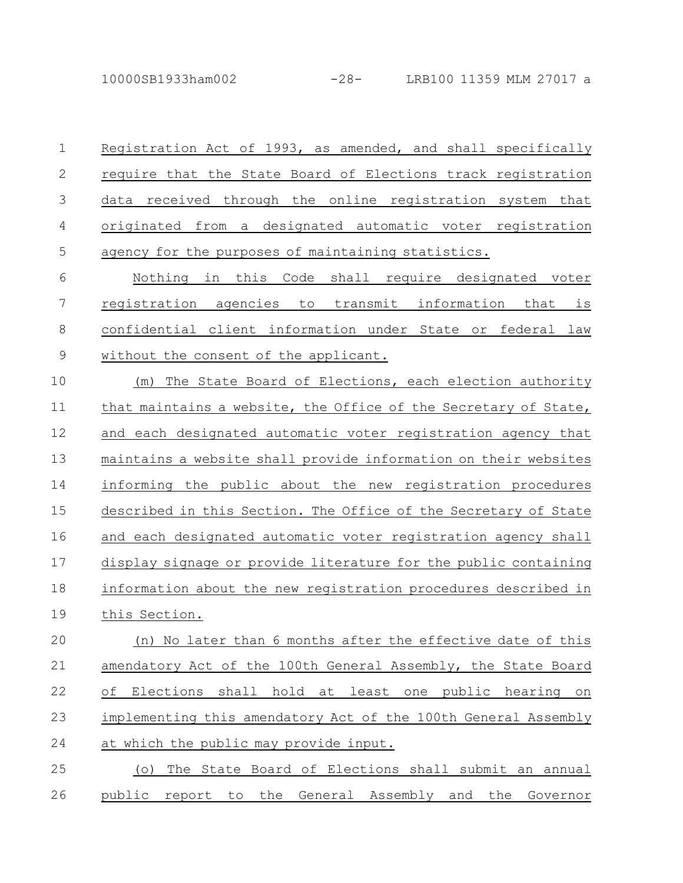Registration Act of 1993, as amended, and shall specifically require that the State Board of Elections track registration data received through the online registration system that originated from a designated automatic voter registration agency for the purposes of maintaining statistics. 1 2 3 4 5

Nothing in this Code shall require designated voter registration agencies to transmit information that is confidential client information under State or federal law without the consent of the applicant. 6 7 8 9

(m) The State Board of Elections, each election authority that maintains a website, the Office of the Secretary of State, and each designated automatic voter registration agency that maintains a website shall provide information on their websites informing the public about the new registration procedures described in this Section. The Office of the Secretary of State and each designated automatic voter registration agency shall display signage or provide literature for the public containing information about the new registration procedures described in this Section. 10 11 12 13 14 15 16 17 18 19

(n) No later than 6 months after the effective date of this amendatory Act of the 100th General Assembly, the State Board of Elections shall hold at least one public hearing on implementing this amendatory Act of the 100th General Assembly at which the public may provide input. 20 21 22 23 24

(o) The State Board of Elections shall submit an annual public report to the General Assembly and the Governor 25 26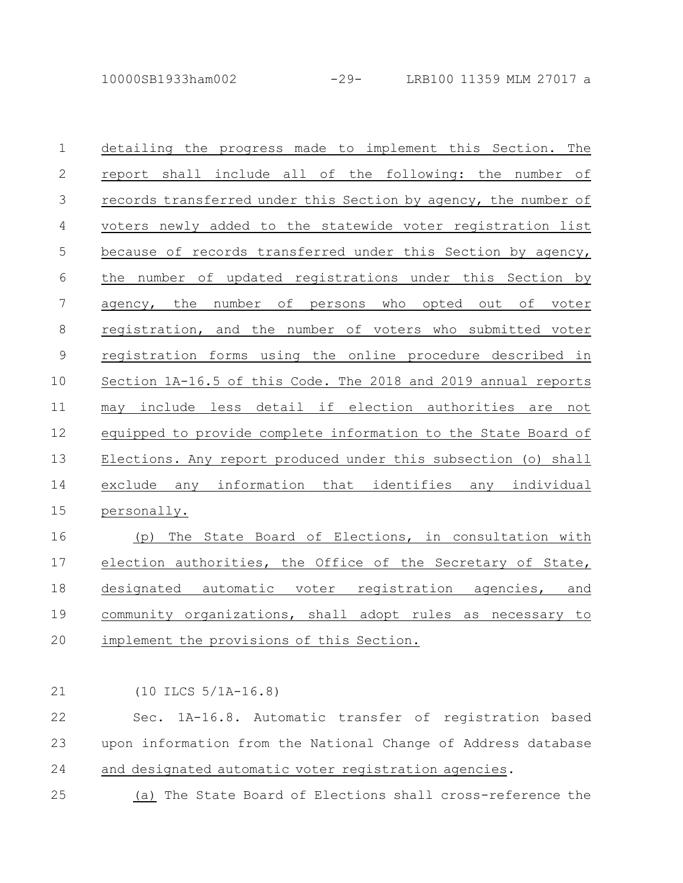10000SB1933ham002 -29- LRB100 11359 MLM 27017 a

detailing the progress made to implement this Section. The report shall include all of the following: the number of records transferred under this Section by agency, the number of voters newly added to the statewide voter registration list because of records transferred under this Section by agency, the number of updated registrations under this Section by agency, the number of persons who opted out of voter registration, and the number of voters who submitted voter registration forms using the online procedure described in Section 1A-16.5 of this Code. The 2018 and 2019 annual reports may include less detail if election authorities are not equipped to provide complete information to the State Board of Elections. Any report produced under this subsection (o) shall exclude any information that identifies any individual personally. 1 2 3 4 5 6 7 8 9 10 11 12 13 14 15

(p) The State Board of Elections, in consultation with election authorities, the Office of the Secretary of State, designated automatic voter registration agencies, and community organizations, shall adopt rules as necessary to implement the provisions of this Section. 16 17 18 19 20

(10 ILCS 5/1A-16.8) 21

Sec. 1A-16.8. Automatic transfer of registration based upon information from the National Change of Address database and designated automatic voter registration agencies. 22 23 24

(a) The State Board of Elections shall cross-reference the 25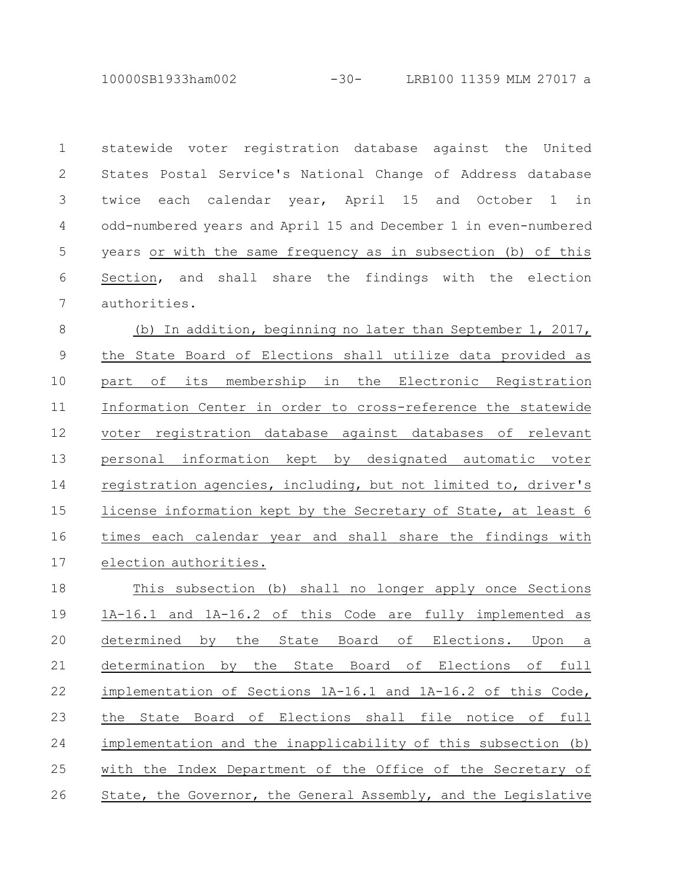10000SB1933ham002 -30- LRB100 11359 MLM 27017 a

statewide voter registration database against the United States Postal Service's National Change of Address database twice each calendar year, April 15 and October 1 in odd-numbered years and April 15 and December 1 in even-numbered years or with the same frequency as in subsection (b) of this Section, and shall share the findings with the election authorities. 1 2 3 4 5 6 7

(b) In addition, beginning no later than September 1, 2017, the State Board of Elections shall utilize data provided as part of its membership in the Electronic Registration Information Center in order to cross-reference the statewide voter registration database against databases of relevant personal information kept by designated automatic voter registration agencies, including, but not limited to, driver's license information kept by the Secretary of State, at least 6 times each calendar year and shall share the findings with election authorities. 8 9 10 11 12 13 14 15 16 17

This subsection (b) shall no longer apply once Sections 1A-16.1 and 1A-16.2 of this Code are fully implemented as determined by the State Board of Elections. Upon a determination by the State Board of Elections of full implementation of Sections 1A-16.1 and 1A-16.2 of this Code, the State Board of Elections shall file notice of full implementation and the inapplicability of this subsection (b) with the Index Department of the Office of the Secretary of State, the Governor, the General Assembly, and the Legislative 18 19 20 21 22 23 24 25 26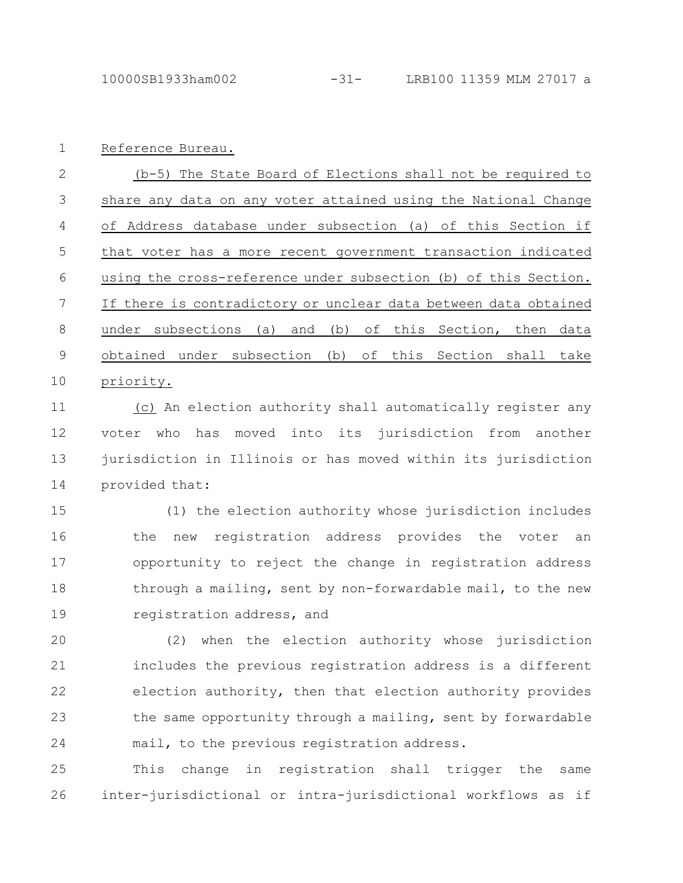Reference Bureau. 1

(b-5) The State Board of Elections shall not be required to share any data on any voter attained using the National Change of Address database under subsection (a) of this Section if that voter has a more recent government transaction indicated using the cross-reference under subsection (b) of this Section. If there is contradictory or unclear data between data obtained under subsections (a) and (b) of this Section, then data obtained under subsection (b) of this Section shall take priority. 2 3 4 5 6 7 8 9 10

(c) An election authority shall automatically register any voter who has moved into its jurisdiction from another jurisdiction in Illinois or has moved within its jurisdiction provided that: 11 12 13 14

(1) the election authority whose jurisdiction includes the new registration address provides the voter an opportunity to reject the change in registration address through a mailing, sent by non-forwardable mail, to the new registration address, and 15 16 17 18 19

(2) when the election authority whose jurisdiction includes the previous registration address is a different election authority, then that election authority provides the same opportunity through a mailing, sent by forwardable mail, to the previous registration address. 20 21 22 23 24

This change in registration shall trigger the same inter-jurisdictional or intra-jurisdictional workflows as if 25 26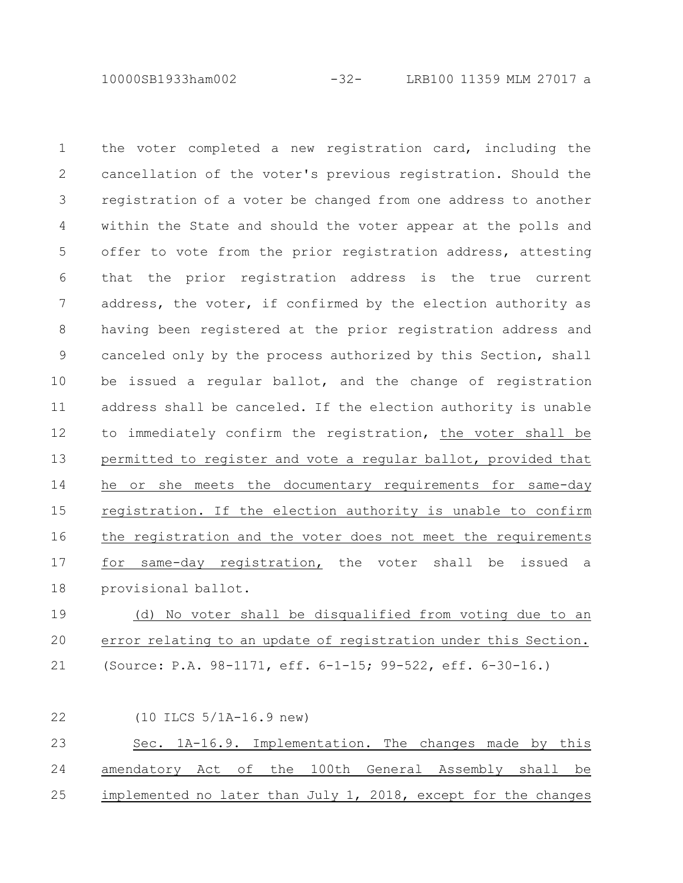10000SB1933ham002 -32- LRB100 11359 MLM 27017 a

the voter completed a new registration card, including the cancellation of the voter's previous registration. Should the registration of a voter be changed from one address to another within the State and should the voter appear at the polls and offer to vote from the prior registration address, attesting that the prior registration address is the true current address, the voter, if confirmed by the election authority as having been registered at the prior registration address and canceled only by the process authorized by this Section, shall be issued a regular ballot, and the change of registration address shall be canceled. If the election authority is unable to immediately confirm the registration, the voter shall be permitted to register and vote a regular ballot, provided that he or she meets the documentary requirements for same-day registration. If the election authority is unable to confirm the registration and the voter does not meet the requirements for same-day registration, the voter shall be issued a provisional ballot. 1 2 3 4 5 6 7 8 9 10 11 12 13 14 15 16 17 18

(d) No voter shall be disqualified from voting due to an error relating to an update of registration under this Section. (Source: P.A. 98-1171, eff. 6-1-15; 99-522, eff. 6-30-16.) 19 20 21

(10 ILCS 5/1A-16.9 new) Sec. 1A-16.9. Implementation. The changes made by this amendatory Act of the 100th General Assembly shall be implemented no later than July 1, 2018, except for the changes 22 23 24 25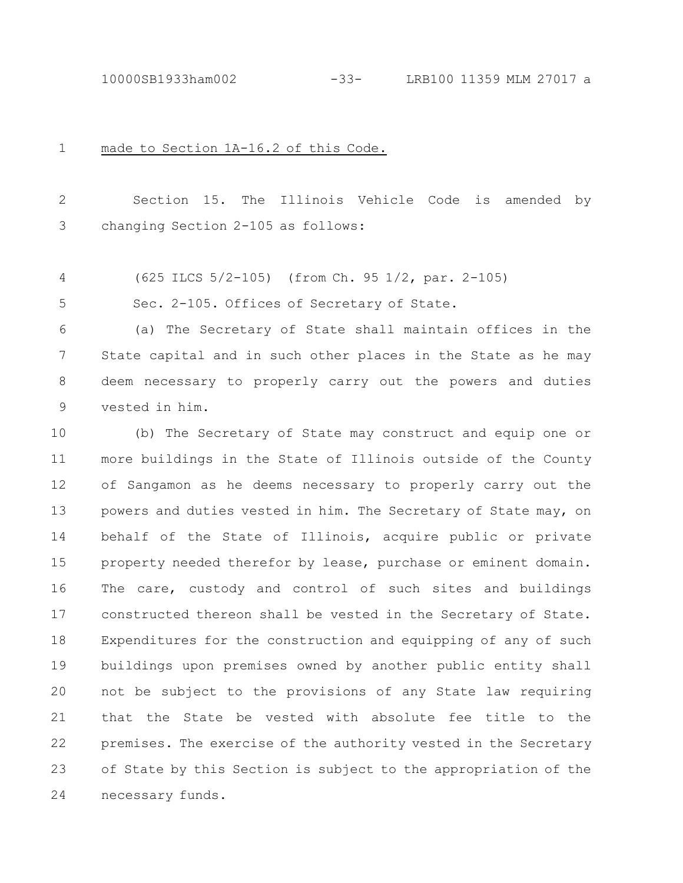10000SB1933ham002 -33- LRB100 11359 MLM 27017 a

made to Section 1A-16.2 of this Code. 1

Section 15. The Illinois Vehicle Code is amended by changing Section 2-105 as follows: 2 3

(625 ILCS 5/2-105) (from Ch. 95 1/2, par. 2-105) 4

Sec. 2-105. Offices of Secretary of State. 5

(a) The Secretary of State shall maintain offices in the State capital and in such other places in the State as he may deem necessary to properly carry out the powers and duties vested in him. 6 7 8 9

(b) The Secretary of State may construct and equip one or more buildings in the State of Illinois outside of the County of Sangamon as he deems necessary to properly carry out the powers and duties vested in him. The Secretary of State may, on behalf of the State of Illinois, acquire public or private property needed therefor by lease, purchase or eminent domain. The care, custody and control of such sites and buildings constructed thereon shall be vested in the Secretary of State. Expenditures for the construction and equipping of any of such buildings upon premises owned by another public entity shall not be subject to the provisions of any State law requiring that the State be vested with absolute fee title to the premises. The exercise of the authority vested in the Secretary of State by this Section is subject to the appropriation of the necessary funds. 10 11 12 13 14 15 16 17 18 19 20 21 22 23 24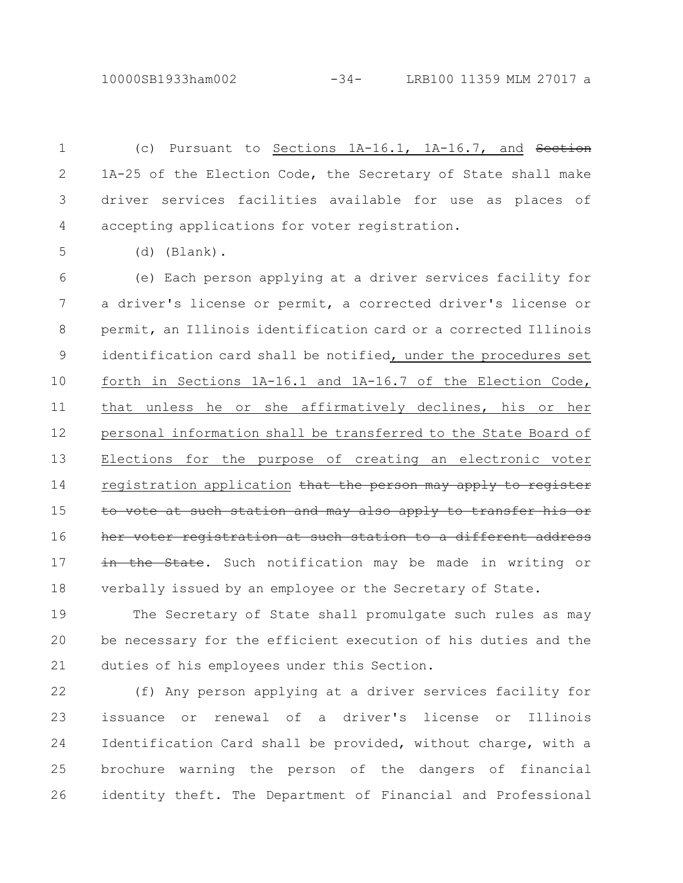10000SB1933ham002 -34- LRB100 11359 MLM 27017 a

(c) Pursuant to Sections 1A-16.1, 1A-16.7, and Section 1A-25 of the Election Code, the Secretary of State shall make driver services facilities available for use as places of accepting applications for voter registration. 1 2 3 4

(d) (Blank).

5

(e) Each person applying at a driver services facility for a driver's license or permit, a corrected driver's license or permit, an Illinois identification card or a corrected Illinois identification card shall be notified, under the procedures set forth in Sections 1A-16.1 and 1A-16.7 of the Election Code, that unless he or she affirmatively declines, his or her personal information shall be transferred to the State Board of Elections for the purpose of creating an electronic voter registration application that the person may apply to register to vote at such station and may also apply to transfer her voter registration at such station to a different address in the State. Such notification may be made in writing or verbally issued by an employee or the Secretary of State. 6 7 8 9 10 11 12 13 14 15 16 17 18

The Secretary of State shall promulgate such rules as may be necessary for the efficient execution of his duties and the duties of his employees under this Section. 19 20 21

(f) Any person applying at a driver services facility for issuance or renewal of a driver's license or Illinois Identification Card shall be provided, without charge, with a brochure warning the person of the dangers of financial identity theft. The Department of Financial and Professional 22 23 24 25 26